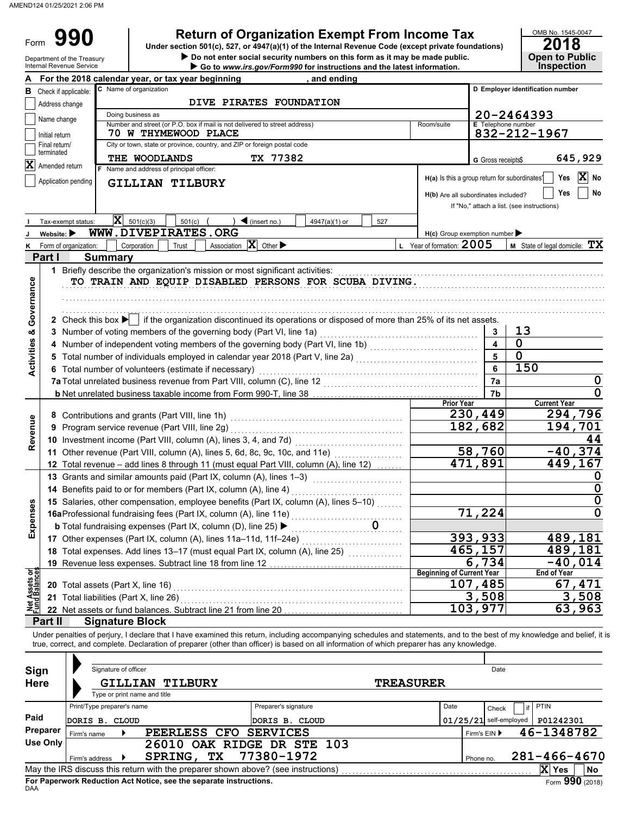Form 990

## **Return of Organization Exempt From Income Tax**

 **Do not enter social security numbers on this form as it may be made public. Open to Public Under section 501(c), 527, or 4947(a)(1) of the Internal Revenue Code (except private foundations)** OMB No. 1545-0047

| ZU I O                               |  |
|--------------------------------------|--|
|                                      |  |
| <b>Open to Public<br/>Inspection</b> |  |

|                                |                               | Department of the Treasury<br>Internal Revenue Service     |                              |                                                                                                           | $\blacktriangleright$ Do not enter social security numbers on this form as it may be made public.<br>Go to www.irs.gov/Form990 for instructions and the latest information.                                                                                                                                              |                                  |                                               |                           | <b>Open to Public</b><br><b>Inspection</b>                |
|--------------------------------|-------------------------------|------------------------------------------------------------|------------------------------|-----------------------------------------------------------------------------------------------------------|--------------------------------------------------------------------------------------------------------------------------------------------------------------------------------------------------------------------------------------------------------------------------------------------------------------------------|----------------------------------|-----------------------------------------------|---------------------------|-----------------------------------------------------------|
| А                              |                               |                                                            |                              | For the 2018 calendar year, or tax year beginning                                                         | , and ending                                                                                                                                                                                                                                                                                                             |                                  |                                               |                           |                                                           |
|                                | <b>B</b> Check if applicable: |                                                            | C Name of organization       |                                                                                                           |                                                                                                                                                                                                                                                                                                                          | D Employer identification number |                                               |                           |                                                           |
|                                | Address change                |                                                            |                              |                                                                                                           | DIVE PIRATES FOUNDATION                                                                                                                                                                                                                                                                                                  |                                  |                                               |                           |                                                           |
|                                | Name change                   |                                                            | Doing business as            |                                                                                                           |                                                                                                                                                                                                                                                                                                                          |                                  |                                               | <b>E</b> Telephone number | 20-2464393                                                |
|                                | Initial return                |                                                            |                              | Number and street (or P.O. box if mail is not delivered to street address)<br><b>70 W THYMEWOOD PLACE</b> |                                                                                                                                                                                                                                                                                                                          |                                  | Room/suite                                    |                           | 832-212-1967                                              |
|                                | Final return/                 |                                                            |                              | City or town, state or province, country, and ZIP or foreign postal code                                  |                                                                                                                                                                                                                                                                                                                          |                                  |                                               |                           |                                                           |
|                                | terminated                    |                                                            |                              | THE WOODLANDS                                                                                             | TX 77382                                                                                                                                                                                                                                                                                                                 |                                  |                                               | G Gross receipts\$        | 645,929                                                   |
|                                | $ \mathbf{X} $ Amended return |                                                            |                              | F Name and address of principal officer:                                                                  |                                                                                                                                                                                                                                                                                                                          |                                  |                                               |                           |                                                           |
|                                | Application pending           |                                                            |                              | <b>GILLIAN TILBURY</b>                                                                                    |                                                                                                                                                                                                                                                                                                                          |                                  | H(a) Is this a group return for subordinates? |                           | Yes $ \mathbf{X} $ No                                     |
|                                |                               |                                                            |                              |                                                                                                           |                                                                                                                                                                                                                                                                                                                          |                                  | H(b) Are all subordinates included?           |                           | No<br>Yes                                                 |
|                                |                               |                                                            |                              |                                                                                                           |                                                                                                                                                                                                                                                                                                                          |                                  |                                               |                           | If "No," attach a list. (see instructions)                |
|                                |                               | Tax-exempt status:                                         | $ \mathbf{X} $ 501(c)(3)     | 501(c)                                                                                                    | $\blacktriangleleft$ (insert no.)<br>4947(a)(1) or<br>527                                                                                                                                                                                                                                                                |                                  |                                               |                           |                                                           |
|                                | Website:                      |                                                            |                              | WWW.DIVEPIRATES.ORG                                                                                       |                                                                                                                                                                                                                                                                                                                          |                                  | $H(c)$ Group exemption number                 |                           |                                                           |
| ĸ                              |                               | Form of organization:                                      |                              | Association $\ \mathbf{X}\ $ Other<br>Corporation<br>Trust                                                |                                                                                                                                                                                                                                                                                                                          |                                  | L Year of formation: $2005$                   |                           | <b>M</b> State of legal domicile: $\mathbf{T} \mathbf{X}$ |
|                                | Part I                        |                                                            | <b>Summary</b>               |                                                                                                           |                                                                                                                                                                                                                                                                                                                          |                                  |                                               |                           |                                                           |
|                                |                               |                                                            |                              | 1 Briefly describe the organization's mission or most significant activities:                             |                                                                                                                                                                                                                                                                                                                          |                                  |                                               |                           |                                                           |
|                                |                               |                                                            |                              |                                                                                                           | TO TRAIN AND EQUIP DISABLED PERSONS FOR SCUBA DIVING.                                                                                                                                                                                                                                                                    |                                  |                                               |                           |                                                           |
| Governance                     |                               |                                                            |                              |                                                                                                           |                                                                                                                                                                                                                                                                                                                          |                                  |                                               |                           |                                                           |
|                                |                               |                                                            |                              |                                                                                                           |                                                                                                                                                                                                                                                                                                                          |                                  |                                               |                           |                                                           |
|                                |                               |                                                            |                              | 3 Number of voting members of the governing body (Part VI, line 1a)                                       | 2 Check this box $\blacktriangleright$ if the organization discontinued its operations or disposed of more than 25% of its net assets.                                                                                                                                                                                   |                                  |                                               |                           | 13                                                        |
| ×ŏ                             |                               |                                                            |                              |                                                                                                           |                                                                                                                                                                                                                                                                                                                          |                                  |                                               | 3<br>4                    | $\mathbf 0$                                               |
|                                | 5.                            |                                                            |                              |                                                                                                           | Total number of individuals employed in calendar year 2018 (Part V, line 2a) [[[[[[[[[[[[[[[[[[[[[[[[[[[[[[[[                                                                                                                                                                                                            |                                  |                                               | 5                         | $\mathbf 0$                                               |
| Activities                     |                               |                                                            |                              | 6 Total number of volunteers (estimate if necessary)                                                      |                                                                                                                                                                                                                                                                                                                          |                                  |                                               | 6                         | 150                                                       |
|                                |                               |                                                            |                              |                                                                                                           |                                                                                                                                                                                                                                                                                                                          |                                  |                                               | 7a                        | 0                                                         |
|                                |                               |                                                            |                              |                                                                                                           |                                                                                                                                                                                                                                                                                                                          |                                  |                                               | 7b                        |                                                           |
|                                |                               |                                                            |                              |                                                                                                           |                                                                                                                                                                                                                                                                                                                          |                                  | <b>Prior Year</b>                             |                           | <b>Current Year</b>                                       |
|                                |                               | 230,449<br>8 Contributions and grants (Part VIII, line 1h) |                              |                                                                                                           |                                                                                                                                                                                                                                                                                                                          |                                  |                                               |                           | <u>294,79</u> 6                                           |
| Revenue                        | 9                             |                                                            |                              | Program service revenue (Part VIII, line 2g)                                                              |                                                                                                                                                                                                                                                                                                                          |                                  |                                               | 182,682                   | 194,701                                                   |
|                                |                               |                                                            |                              | 10 Investment income (Part VIII, column (A), lines 3, 4, and 7d)                                          |                                                                                                                                                                                                                                                                                                                          |                                  | 44                                            |                           |                                                           |
|                                |                               |                                                            |                              | 11 Other revenue (Part VIII, column (A), lines 5, 6d, 8c, 9c, 10c, and 11e)                               |                                                                                                                                                                                                                                                                                                                          |                                  |                                               | 58,760                    | $-40,374$                                                 |
|                                |                               |                                                            |                              |                                                                                                           | 12 Total revenue - add lines 8 through 11 (must equal Part VIII, column (A), line 12)                                                                                                                                                                                                                                    |                                  |                                               | 471,891                   | 449,167                                                   |
|                                |                               |                                                            |                              | 13 Grants and similar amounts paid (Part IX, column (A), lines 1-3)                                       |                                                                                                                                                                                                                                                                                                                          |                                  |                                               |                           | 0                                                         |
|                                |                               |                                                            |                              | 14 Benefits paid to or for members (Part IX, column (A), line 4)                                          | 15 Salaries, other compensation, employee benefits (Part IX, column (A), lines 5-10)                                                                                                                                                                                                                                     |                                  |                                               |                           | 0                                                         |
| nses                           |                               |                                                            |                              | 16aProfessional fundraising fees (Part IX, column (A), line 11e)                                          |                                                                                                                                                                                                                                                                                                                          |                                  |                                               | 71,224                    | 0                                                         |
|                                |                               |                                                            |                              | <b>b</b> Total fundraising expenses (Part IX, column (D), line 25) ▶                                      | $\overline{0}$                                                                                                                                                                                                                                                                                                           |                                  |                                               |                           |                                                           |
| Exper                          |                               |                                                            |                              | 17 Other expenses (Part IX, column (A), lines 11a-11d, 11f-24e)                                           |                                                                                                                                                                                                                                                                                                                          |                                  |                                               | 393,933                   | 489,181                                                   |
|                                |                               |                                                            |                              | 18 Total expenses. Add lines 13-17 (must equal Part IX, column (A), line 25)                              |                                                                                                                                                                                                                                                                                                                          |                                  |                                               | <u>465,157</u>            | 489,181                                                   |
|                                |                               |                                                            |                              | 19 Revenue less expenses. Subtract line 18 from line 12                                                   |                                                                                                                                                                                                                                                                                                                          |                                  |                                               | 6,734                     | $-40,014$                                                 |
| Net Assets or<br>Fund Balances |                               |                                                            |                              |                                                                                                           |                                                                                                                                                                                                                                                                                                                          |                                  | <b>Beginning of Current Year</b>              |                           | <b>End of Year</b>                                        |
|                                |                               |                                                            |                              |                                                                                                           | 20 Total assets (Part X, line 16) Material and Section Material Assets (Part X, line 16)                                                                                                                                                                                                                                 |                                  |                                               | 107,485                   | 67,471                                                    |
|                                |                               |                                                            |                              | 21 Total liabilities (Part X, line 26)                                                                    |                                                                                                                                                                                                                                                                                                                          |                                  |                                               | 3,508                     | 3,508                                                     |
|                                |                               |                                                            |                              | 22 Net assets or fund balances. Subtract line 21 from line 20                                             |                                                                                                                                                                                                                                                                                                                          |                                  |                                               | 103,977                   | 63,963                                                    |
|                                | Part II                       |                                                            | <b>Signature Block</b>       |                                                                                                           |                                                                                                                                                                                                                                                                                                                          |                                  |                                               |                           |                                                           |
|                                |                               |                                                            |                              |                                                                                                           | Under penalties of perjury, I declare that I have examined this return, including accompanying schedules and statements, and to the best of my knowledge and belief, it is<br>true, correct, and complete. Declaration of preparer (other than officer) is based on all information of which preparer has any knowledge. |                                  |                                               |                           |                                                           |
|                                |                               |                                                            |                              |                                                                                                           |                                                                                                                                                                                                                                                                                                                          |                                  |                                               |                           |                                                           |
| Sign                           |                               |                                                            | Signature of officer         |                                                                                                           |                                                                                                                                                                                                                                                                                                                          |                                  |                                               | Date                      |                                                           |
|                                | <b>Here</b>                   |                                                            |                              | <b>GILLIAN TILBURY</b>                                                                                    |                                                                                                                                                                                                                                                                                                                          |                                  | <b>TREASURER</b>                              |                           |                                                           |
|                                |                               |                                                            | Type or print name and title |                                                                                                           |                                                                                                                                                                                                                                                                                                                          |                                  |                                               |                           |                                                           |
|                                |                               |                                                            | Print/Type preparer's name   |                                                                                                           | Preparer's signature                                                                                                                                                                                                                                                                                                     |                                  | Date                                          | Check                     | PTIN<br>if                                                |
| Paid                           |                               |                                                            | DORIS B. CLOUD               |                                                                                                           | DORIS B. CLOUD                                                                                                                                                                                                                                                                                                           |                                  |                                               | $01/25/21$ self-employed  | P01242301                                                 |
|                                | Preparer                      | Firm's name                                                |                              | PEERLESS CFO SERVICES                                                                                     |                                                                                                                                                                                                                                                                                                                          |                                  |                                               | Firm's EIN ▶              | 46-1348782                                                |
|                                | <b>Use Only</b>               |                                                            |                              | 26010 OAK RIDGE DR STE 103                                                                                |                                                                                                                                                                                                                                                                                                                          |                                  |                                               |                           |                                                           |
|                                |                               | Firm's address                                             |                              | SPRING, TX                                                                                                | 77380-1972                                                                                                                                                                                                                                                                                                               |                                  |                                               | Phone no.                 | $281 - 466 - 4670$                                        |
|                                |                               |                                                            |                              | May the IRS discuss this return with the preparer shown above? (see instructions)                         |                                                                                                                                                                                                                                                                                                                          |                                  |                                               |                           | X Yes<br>No                                               |

| Sign        | Signature of officer                                                              |                            | Date                                  |
|-------------|-----------------------------------------------------------------------------------|----------------------------|---------------------------------------|
| <b>Here</b> | GILLIAN<br>TILBURY                                                                |                            | <b>TREASURER</b>                      |
|             | Type or print name and title                                                      |                            |                                       |
|             | Print/Type preparer's name                                                        | Preparer's signature       | Date<br><b>PTIN</b><br>Check          |
| Paid        | DORIS B. CLOUD                                                                    | DORIS B. CLOUD             | $01/25/21$ self-employed<br>P01242301 |
| Preparer    | PEERLESS CFO<br>Firm's name                                                       | <b>SERVICES</b>            | 46-1348782<br>Firm's $EIN$            |
| Use Only    |                                                                                   | 26010 OAK RIDGE DR STE 103 |                                       |
|             | SPRING.<br>Firm's address                                                         | 77380-1972<br>TХ           | 281-466-4670<br>Phone no.             |
|             | May the IRS discuss this return with the preparer shown above? (see instructions) |                            | ΙX<br>No.<br><b>Yes</b>               |
| DAA         | For Paperwork Reduction Act Notice, see the separate instructions.                |                            | Form 990 (2018)                       |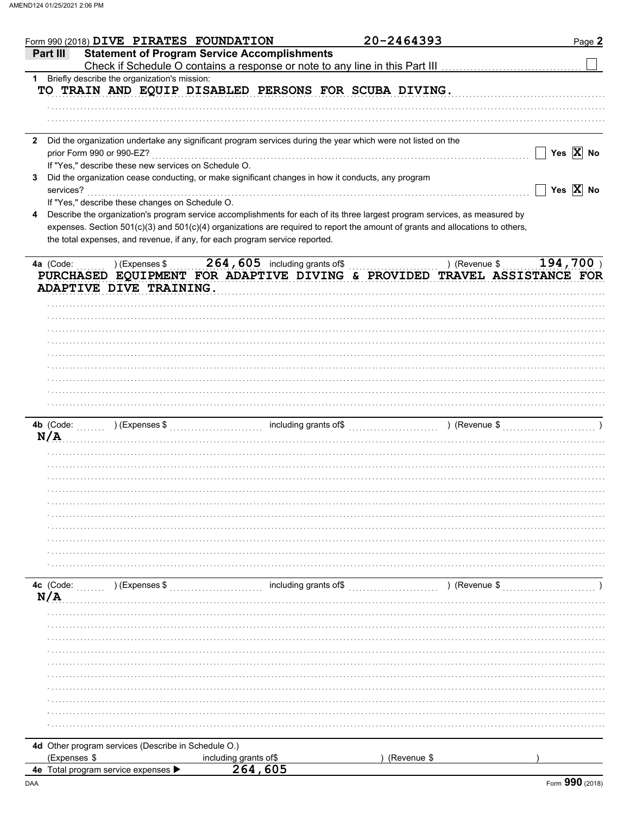|   | 20-2464393<br>Form 990 (2018) DIVE PIRATES FOUNDATION                                                                                           | Page 2                |
|---|-------------------------------------------------------------------------------------------------------------------------------------------------|-----------------------|
|   | <b>Statement of Program Service Accomplishments</b><br>Part III<br>Check if Schedule O contains a response or note to any line in this Part III |                       |
|   | 1 Briefly describe the organization's mission:                                                                                                  |                       |
|   | TO TRAIN AND EQUIP DISABLED PERSONS FOR SCUBA DIVING.                                                                                           |                       |
|   |                                                                                                                                                 |                       |
|   |                                                                                                                                                 |                       |
|   |                                                                                                                                                 |                       |
|   | 2 Did the organization undertake any significant program services during the year which were not listed on the                                  |                       |
|   | prior Form 990 or 990-EZ?                                                                                                                       | Yes $X$ No            |
|   | If "Yes," describe these new services on Schedule O.                                                                                            |                       |
| 3 | Did the organization cease conducting, or make significant changes in how it conducts, any program                                              |                       |
|   | services?                                                                                                                                       | Yes $\overline{X}$ No |
|   | If "Yes," describe these changes on Schedule O.                                                                                                 |                       |
| 4 | Describe the organization's program service accomplishments for each of its three largest program services, as measured by                      |                       |
|   | expenses. Section 501(c)(3) and 501(c)(4) organizations are required to report the amount of grants and allocations to others,                  |                       |
|   | the total expenses, and revenue, if any, for each program service reported.                                                                     |                       |
|   |                                                                                                                                                 |                       |
|   | $264, 605$ including grants of \$<br>) (Revenue \$<br>4a (Code:<br>) (Expenses \$                                                               | $194,700$ )           |
|   | PURCHASED EQUIPMENT FOR ADAPTIVE DIVING & PROVIDED TRAVEL ASSISTANCE FOR                                                                        |                       |
|   | ADAPTIVE DIVE TRAINING.                                                                                                                         |                       |
|   |                                                                                                                                                 |                       |
|   |                                                                                                                                                 |                       |
|   |                                                                                                                                                 |                       |
|   |                                                                                                                                                 |                       |
|   |                                                                                                                                                 |                       |
|   |                                                                                                                                                 |                       |
|   |                                                                                                                                                 |                       |
|   |                                                                                                                                                 |                       |
|   |                                                                                                                                                 |                       |
|   | 4b (Code:<br>including grants of\$<br>) (Revenue \$<br>$(\mathsf{Express}\,\$$                                                                  |                       |
|   | N/A                                                                                                                                             |                       |
|   |                                                                                                                                                 |                       |
|   |                                                                                                                                                 |                       |
|   |                                                                                                                                                 |                       |
|   |                                                                                                                                                 |                       |
|   |                                                                                                                                                 |                       |
|   |                                                                                                                                                 |                       |
|   |                                                                                                                                                 |                       |
|   |                                                                                                                                                 |                       |
|   |                                                                                                                                                 |                       |
|   |                                                                                                                                                 |                       |
|   | 4c (Code:<br>including grants of\$<br>) (Revenue \$<br>) (Expenses \$                                                                           |                       |
|   | N/A                                                                                                                                             |                       |
|   |                                                                                                                                                 |                       |
|   |                                                                                                                                                 |                       |
|   |                                                                                                                                                 |                       |
|   |                                                                                                                                                 |                       |
|   |                                                                                                                                                 |                       |
|   |                                                                                                                                                 |                       |
|   |                                                                                                                                                 |                       |
|   |                                                                                                                                                 |                       |
|   |                                                                                                                                                 |                       |
|   |                                                                                                                                                 |                       |
|   |                                                                                                                                                 |                       |
|   | 4d Other program services (Describe in Schedule O.)                                                                                             |                       |
|   | (Expenses \$<br>including grants of\$<br>(Revenue \$                                                                                            |                       |
|   | 264,605<br>4e Total program service expenses                                                                                                    |                       |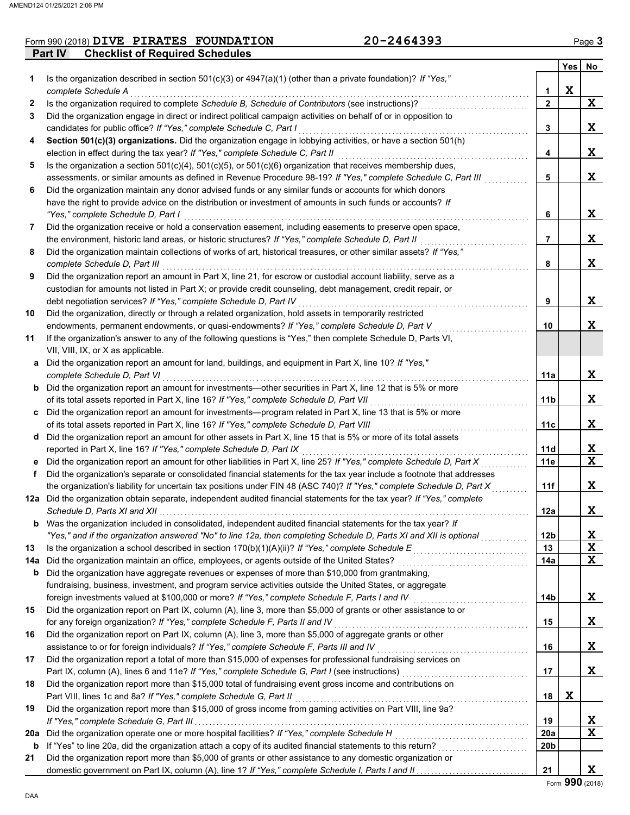### **Part IV Checklist of Required Schedules** Form 990 (2018) Page **3 DIVE PIRATES FOUNDATION 20-2464393**

|     |                                                                                                                                                  |                 | <b>Yes</b>  | No               |
|-----|--------------------------------------------------------------------------------------------------------------------------------------------------|-----------------|-------------|------------------|
| 1.  | Is the organization described in section $501(c)(3)$ or $4947(a)(1)$ (other than a private foundation)? If "Yes,"                                |                 |             |                  |
|     | complete Schedule A                                                                                                                              | 1               | $\mathbf X$ |                  |
| 2   | Is the organization required to complete Schedule B, Schedule of Contributors (see instructions)?                                                | $\mathbf{2}$    |             | X                |
| 3   | Did the organization engage in direct or indirect political campaign activities on behalf of or in opposition to                                 |                 |             |                  |
|     | candidates for public office? If "Yes," complete Schedule C, Part I                                                                              | 3               |             | X                |
| 4   | Section 501(c)(3) organizations. Did the organization engage in lobbying activities, or have a section 501(h)                                    |                 |             |                  |
|     | election in effect during the tax year? If "Yes," complete Schedule C, Part II                                                                   | 4               |             | X                |
| 5   | Is the organization a section $501(c)(4)$ , $501(c)(5)$ , or $501(c)(6)$ organization that receives membership dues,                             |                 |             |                  |
|     | assessments, or similar amounts as defined in Revenue Procedure 98-19? If "Yes," complete Schedule C, Part III                                   | 5               |             | X                |
| 6   | Did the organization maintain any donor advised funds or any similar funds or accounts for which donors                                          |                 |             |                  |
|     | have the right to provide advice on the distribution or investment of amounts in such funds or accounts? If                                      |                 |             |                  |
|     | "Yes," complete Schedule D, Part I                                                                                                               | 6               |             | X                |
| 7   | Did the organization receive or hold a conservation easement, including easements to preserve open space,                                        |                 |             |                  |
|     | the environment, historic land areas, or historic structures? If "Yes," complete Schedule D, Part II                                             | 7               |             | X                |
| 8   | Did the organization maintain collections of works of art, historical treasures, or other similar assets? If "Yes,"                              |                 |             | X                |
|     | complete Schedule D, Part III<br>Did the organization report an amount in Part X, line 21, for escrow or custodial account liability, serve as a | 8               |             |                  |
| 9   | custodian for amounts not listed in Part X; or provide credit counseling, debt management, credit repair, or                                     |                 |             |                  |
|     | debt negotiation services? If "Yes," complete Schedule D, Part IV                                                                                | 9               |             | X                |
| 10  | Did the organization, directly or through a related organization, hold assets in temporarily restricted                                          |                 |             |                  |
|     | endowments, permanent endowments, or quasi-endowments? If "Yes," complete Schedule D, Part V                                                     | 10              |             | X                |
| 11  | If the organization's answer to any of the following questions is "Yes," then complete Schedule D, Parts VI,                                     |                 |             |                  |
|     | VII, VIII, IX, or X as applicable.                                                                                                               |                 |             |                  |
|     | a Did the organization report an amount for land, buildings, and equipment in Part X, line 10? If "Yes,"                                         |                 |             |                  |
|     | complete Schedule D, Part VI                                                                                                                     | 11a             |             | X                |
|     | <b>b</b> Did the organization report an amount for investments—other securities in Part X, line 12 that is 5% or more                            |                 |             |                  |
|     | of its total assets reported in Part X, line 16? If "Yes," complete Schedule D, Part VII                                                         | 11 <sub>b</sub> |             | X                |
|     | c Did the organization report an amount for investments—program related in Part X, line 13 that is 5% or more                                    |                 |             |                  |
|     | of its total assets reported in Part X, line 16? If "Yes," complete Schedule D, Part VIII                                                        | 11c             |             | X                |
|     | d Did the organization report an amount for other assets in Part X, line 15 that is 5% or more of its total assets                               |                 |             |                  |
|     | reported in Part X, line 16? If "Yes," complete Schedule D, Part IX                                                                              | <b>11d</b>      |             | X                |
|     | e Did the organization report an amount for other liabilities in Part X, line 25? If "Yes," complete Schedule D, Part X                          | 11e             |             | $\mathbf x$      |
| f   | Did the organization's separate or consolidated financial statements for the tax year include a footnote that addresses                          |                 |             |                  |
|     | the organization's liability for uncertain tax positions under FIN 48 (ASC 740)? If "Yes," complete Schedule D, Part X                           | 11f             |             | X                |
|     | 12a Did the organization obtain separate, independent audited financial statements for the tax year? If "Yes," complete                          |                 |             |                  |
|     |                                                                                                                                                  | 12a             |             | X                |
|     | <b>b</b> Was the organization included in consolidated, independent audited financial statements for the tax year? If                            |                 |             |                  |
|     | "Yes," and if the organization answered "No" to line 12a, then completing Schedule D, Parts XI and XII is optional                               | 12 <sub>b</sub> |             | X                |
| 13  | Is the organization a school described in section $170(b)(1)(A)(ii)?$ If "Yes," complete Schedule E                                              | 13              |             | $\mathbf x$      |
| 14a |                                                                                                                                                  | 14a             |             | $\mathbf x$      |
| b   | Did the organization have aggregate revenues or expenses of more than \$10,000 from grantmaking,                                                 |                 |             |                  |
|     | fundraising, business, investment, and program service activities outside the United States, or aggregate                                        |                 |             |                  |
|     | foreign investments valued at \$100,000 or more? If "Yes," complete Schedule F, Parts I and IV                                                   | 14b             |             | X                |
| 15  | Did the organization report on Part IX, column (A), line 3, more than \$5,000 of grants or other assistance to or                                |                 |             |                  |
|     | for any foreign organization? If "Yes," complete Schedule F, Parts II and IV                                                                     | 15              |             | X                |
| 16  | Did the organization report on Part IX, column (A), line 3, more than \$5,000 of aggregate grants or other                                       |                 |             |                  |
|     | assistance to or for foreign individuals? If "Yes," complete Schedule F, Parts III and IV                                                        | 16              |             | X                |
| 17  | Did the organization report a total of more than \$15,000 of expenses for professional fundraising services on                                   |                 |             |                  |
|     | Part IX, column (A), lines 6 and 11e? If "Yes," complete Schedule G, Part I (see instructions)                                                   | 17              |             | X                |
| 18  | Did the organization report more than \$15,000 total of fundraising event gross income and contributions on                                      |                 | X           |                  |
|     | Part VIII, lines 1c and 8a? If "Yes," complete Schedule G, Part II                                                                               | 18              |             |                  |
| 19  | Did the organization report more than \$15,000 of gross income from gaming activities on Part VIII, line 9a?                                     |                 |             |                  |
|     |                                                                                                                                                  | 19              |             | X<br>$\mathbf x$ |
| 20a | Did the organization operate one or more hospital facilities? If "Yes," complete Schedule H                                                      | 20a             |             |                  |
| b   |                                                                                                                                                  | 20b             |             |                  |
| 21  | Did the organization report more than \$5,000 of grants or other assistance to any domestic organization or                                      | 21              |             | X                |
|     |                                                                                                                                                  |                 |             |                  |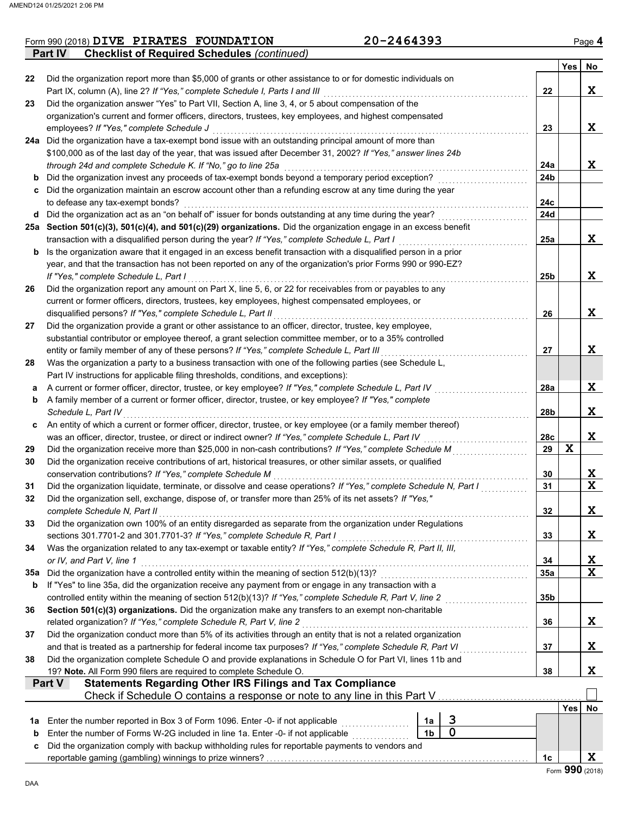|     | Part IV<br><b>Checklist of Required Schedules (continued)</b>                                                                               |                 |             |                 |
|-----|---------------------------------------------------------------------------------------------------------------------------------------------|-----------------|-------------|-----------------|
|     |                                                                                                                                             |                 | Yes         | No              |
| 22  | Did the organization report more than \$5,000 of grants or other assistance to or for domestic individuals on                               |                 |             |                 |
|     | Part IX, column (A), line 2? If "Yes," complete Schedule I, Parts I and III                                                                 | 22              |             | X               |
| 23  | Did the organization answer "Yes" to Part VII, Section A, line 3, 4, or 5 about compensation of the                                         |                 |             |                 |
|     | organization's current and former officers, directors, trustees, key employees, and highest compensated                                     |                 |             |                 |
|     | employees? If "Yes," complete Schedule J                                                                                                    | 23              |             | X               |
|     | 24a Did the organization have a tax-exempt bond issue with an outstanding principal amount of more than                                     |                 |             |                 |
|     | \$100,000 as of the last day of the year, that was issued after December 31, 2002? If "Yes," answer lines 24b                               |                 |             |                 |
|     | through 24d and complete Schedule K. If "No," go to line 25a                                                                                | 24a             |             | X               |
| b   | Did the organization invest any proceeds of tax-exempt bonds beyond a temporary period exception?                                           | 24b             |             |                 |
| c   | Did the organization maintain an escrow account other than a refunding escrow at any time during the year                                   | 24c             |             |                 |
|     | to defease any tax-exempt bonds?<br>Did the organization act as an "on behalf of" issuer for bonds outstanding at any time during the year? | 24d             |             |                 |
| d   | 25a Section 501(c)(3), 501(c)(4), and 501(c)(29) organizations. Did the organization engage in an excess benefit                            |                 |             |                 |
|     | transaction with a disqualified person during the year? If "Yes," complete Schedule L, Part I                                               | 25a             |             | X               |
|     | Is the organization aware that it engaged in an excess benefit transaction with a disqualified person in a prior                            |                 |             |                 |
| b   | year, and that the transaction has not been reported on any of the organization's prior Forms 990 or 990-EZ?                                |                 |             |                 |
|     | If "Yes," complete Schedule L, Part I                                                                                                       | 25 <sub>b</sub> |             | X               |
| 26  | Did the organization report any amount on Part X, line 5, 6, or 22 for receivables from or payables to any                                  |                 |             |                 |
|     | current or former officers, directors, trustees, key employees, highest compensated employees, or                                           |                 |             |                 |
|     | disqualified persons? If "Yes," complete Schedule L, Part II                                                                                | 26              |             | X               |
| 27  | Did the organization provide a grant or other assistance to an officer, director, trustee, key employee,                                    |                 |             |                 |
|     | substantial contributor or employee thereof, a grant selection committee member, or to a 35% controlled                                     |                 |             |                 |
|     | entity or family member of any of these persons? If "Yes," complete Schedule L, Part III                                                    | 27              |             | X               |
| 28  | Was the organization a party to a business transaction with one of the following parties (see Schedule L,                                   |                 |             |                 |
|     | Part IV instructions for applicable filing thresholds, conditions, and exceptions):                                                         |                 |             |                 |
| а   | A current or former officer, director, trustee, or key employee? If "Yes," complete Schedule L, Part IV                                     | 28a             |             | X               |
| b   | A family member of a current or former officer, director, trustee, or key employee? If "Yes," complete                                      |                 |             |                 |
|     | Schedule L, Part IV                                                                                                                         | 28b             |             | X               |
| c   | An entity of which a current or former officer, director, trustee, or key employee (or a family member thereof)                             |                 |             |                 |
|     | was an officer, director, trustee, or direct or indirect owner? If "Yes," complete Schedule L, Part IV                                      | 28c             |             | X               |
| 29  | Did the organization receive more than \$25,000 in non-cash contributions? If "Yes," complete Schedule M                                    | 29              | $\mathbf x$ |                 |
| 30  | Did the organization receive contributions of art, historical treasures, or other similar assets, or qualified                              |                 |             |                 |
|     | conservation contributions? If "Yes," complete Schedule M                                                                                   | 30              |             | X               |
| 31  | Did the organization liquidate, terminate, or dissolve and cease operations? If "Yes," complete Schedule N, Part I                          | 31              |             | X               |
| 32  | Did the organization sell, exchange, dispose of, or transfer more than 25% of its net assets? If "Yes,"                                     |                 |             |                 |
|     | complete Schedule N, Part II                                                                                                                | 32              |             | X               |
| 33  | Did the organization own 100% of an entity disregarded as separate from the organization under Regulations                                  |                 |             |                 |
|     | sections 301.7701-2 and 301.7701-3? If "Yes," complete Schedule R, Part I                                                                   | 33              |             | X               |
| 34  | Was the organization related to any tax-exempt or taxable entity? If "Yes," complete Schedule R, Part II, III,                              |                 |             |                 |
|     | or IV, and Part V, line 1                                                                                                                   | 34              |             | X               |
| 35а | Did the organization have a controlled entity within the meaning of section 512(b)(13)?                                                     | <b>35a</b>      |             | $\mathbf x$     |
| b   | If "Yes" to line 35a, did the organization receive any payment from or engage in any transaction with a                                     |                 |             |                 |
|     | controlled entity within the meaning of section 512(b)(13)? If "Yes," complete Schedule R, Part V, line 2                                   | 35b             |             |                 |
| 36  | Section 501(c)(3) organizations. Did the organization make any transfers to an exempt non-charitable                                        |                 |             |                 |
|     | related organization? If "Yes," complete Schedule R, Part V, line 2                                                                         | 36              |             | X               |
| 37  | Did the organization conduct more than 5% of its activities through an entity that is not a related organization                            |                 |             |                 |
|     | and that is treated as a partnership for federal income tax purposes? If "Yes," complete Schedule R, Part VI                                | 37              |             | X               |
| 38  | Did the organization complete Schedule O and provide explanations in Schedule O for Part VI, lines 11b and                                  |                 |             |                 |
|     | 19? Note. All Form 990 filers are required to complete Schedule O.                                                                          | 38              |             | X               |
|     | <b>Statements Regarding Other IRS Filings and Tax Compliance</b><br>Part V                                                                  |                 |             |                 |
|     | Check if Schedule O contains a response or note to any line in this Part V.                                                                 |                 |             |                 |
|     |                                                                                                                                             |                 | <b>Yes</b>  | No              |
| 1a  | 3<br>Enter the number reported in Box 3 of Form 1096. Enter -0- if not applicable<br>1a                                                     |                 |             |                 |
| b   | $\overline{\mathbf{0}}$<br>1 <sub>b</sub><br>Enter the number of Forms W-2G included in line 1a. Enter -0- if not applicable                |                 |             |                 |
| c   | Did the organization comply with backup withholding rules for reportable payments to vendors and                                            |                 |             |                 |
|     |                                                                                                                                             | 1c              |             | X               |
|     |                                                                                                                                             |                 |             | Form 990 (2018) |

Form 990 (2018) Page **4 DIVE PIRATES FOUNDATION 20-2464393**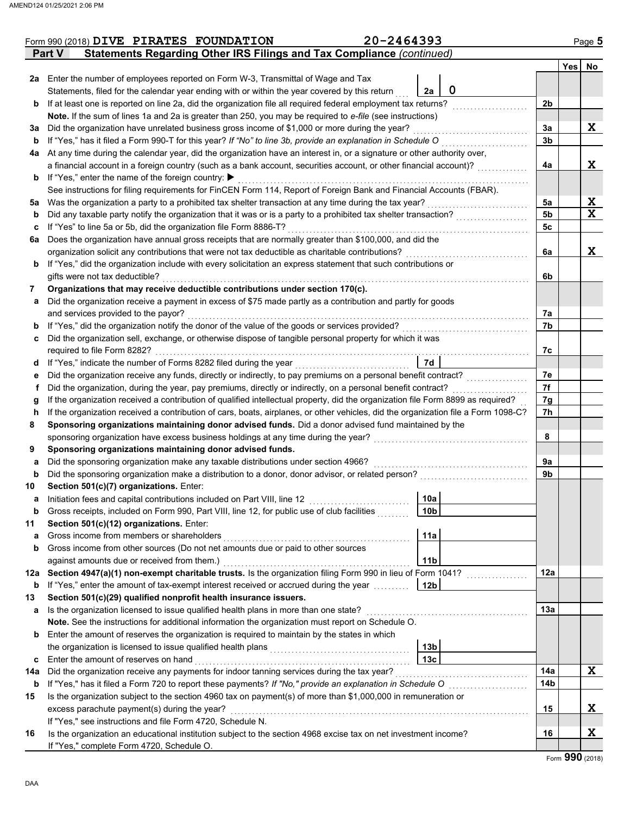|     | Form 990 (2018) DIVE PIRATES FOUNDATION                                                                                                                                                                    | 20-2464393        |                      |        | Page 5      |
|-----|------------------------------------------------------------------------------------------------------------------------------------------------------------------------------------------------------------|-------------------|----------------------|--------|-------------|
|     | Statements Regarding Other IRS Filings and Tax Compliance (continued)<br><b>Part V</b>                                                                                                                     |                   |                      |        |             |
|     |                                                                                                                                                                                                            |                   |                      | Yes No |             |
|     | 2a Enter the number of employees reported on Form W-3, Transmittal of Wage and Tax                                                                                                                         |                   |                      |        |             |
|     | Statements, filed for the calendar year ending with or within the year covered by this return                                                                                                              | $\mathbf 0$<br>2a |                      |        |             |
| b   | If at least one is reported on line 2a, did the organization file all required federal employment tax returns?                                                                                             |                   | 2b                   |        |             |
|     | Note. If the sum of lines 1a and 2a is greater than 250, you may be required to e-file (see instructions)                                                                                                  |                   |                      |        |             |
| За  | Did the organization have unrelated business gross income of \$1,000 or more during the year?                                                                                                              |                   | 3a                   |        | X           |
| b   | If "Yes," has it filed a Form 990-T for this year? If "No" to line 3b, provide an explanation in Schedule O                                                                                                |                   | 3 <sub>b</sub>       |        |             |
| 4a  | At any time during the calendar year, did the organization have an interest in, or a signature or other authority over,                                                                                    |                   |                      |        |             |
|     | a financial account in a foreign country (such as a bank account, securities account, or other financial account)?                                                                                         |                   | 4a                   |        | X           |
|     | <b>b</b> If "Yes," enter the name of the foreign country: ▶                                                                                                                                                |                   |                      |        |             |
|     | See instructions for filing requirements for FinCEN Form 114, Report of Foreign Bank and Financial Accounts (FBAR).                                                                                        |                   |                      |        | X           |
| 5a  | Was the organization a party to a prohibited tax shelter transaction at any time during the tax year?                                                                                                      |                   | 5a<br>5 <sub>b</sub> |        | $\mathbf x$ |
| b   | Did any taxable party notify the organization that it was or is a party to a prohibited tax shelter transaction?                                                                                           |                   | 5c                   |        |             |
| c   | If "Yes" to line 5a or 5b, did the organization file Form 8886-T?                                                                                                                                          |                   |                      |        |             |
| 6а  | Does the organization have annual gross receipts that are normally greater than \$100,000, and did the<br>organization solicit any contributions that were not tax deductible as charitable contributions? |                   |                      |        | X           |
|     | If "Yes," did the organization include with every solicitation an express statement that such contributions or                                                                                             |                   | 6a                   |        |             |
| b   | gifts were not tax deductible?                                                                                                                                                                             |                   | 6b                   |        |             |
| 7   | Organizations that may receive deductible contributions under section 170(c).                                                                                                                              |                   |                      |        |             |
|     | Did the organization receive a payment in excess of \$75 made partly as a contribution and partly for goods                                                                                                |                   |                      |        |             |
| а   | and services provided to the payor?                                                                                                                                                                        |                   | 7а                   |        |             |
| b   | If "Yes," did the organization notify the donor of the value of the goods or services provided?                                                                                                            |                   | 7b                   |        |             |
| c   | Did the organization sell, exchange, or otherwise dispose of tangible personal property for which it was                                                                                                   |                   |                      |        |             |
|     | required to file Form 8282?                                                                                                                                                                                |                   | 7c                   |        |             |
| d   | If "Yes," indicate the number of Forms 8282 filed during the year                                                                                                                                          | 7d                |                      |        |             |
| е   | Did the organization receive any funds, directly or indirectly, to pay premiums on a personal benefit contract?                                                                                            |                   | 7e                   |        |             |
| f   | Did the organization, during the year, pay premiums, directly or indirectly, on a personal benefit contract?                                                                                               |                   | 7f                   |        |             |
| g   | If the organization received a contribution of qualified intellectual property, did the organization file Form 8899 as required?                                                                           |                   | 7g                   |        |             |
| h   | If the organization received a contribution of cars, boats, airplanes, or other vehicles, did the organization file a Form 1098-C?                                                                         |                   | 7h                   |        |             |
| 8   | Sponsoring organizations maintaining donor advised funds. Did a donor advised fund maintained by the                                                                                                       |                   |                      |        |             |
|     | sponsoring organization have excess business holdings at any time during the year?                                                                                                                         |                   | 8                    |        |             |
| 9   | Sponsoring organizations maintaining donor advised funds.                                                                                                                                                  |                   |                      |        |             |
| а   | Did the sponsoring organization make any taxable distributions under section 4966?                                                                                                                         |                   | 9a                   |        |             |
| b   | Did the sponsoring organization make a distribution to a donor, donor advisor, or related person?                                                                                                          |                   | 9b                   |        |             |
| 10  | Section 501(c)(7) organizations. Enter:                                                                                                                                                                    |                   |                      |        |             |
|     | Initiation fees and capital contributions included on Part VIII, line 12                                                                                                                                   | 10a               |                      |        |             |
| b   | Gross receipts, included on Form 990, Part VIII, line 12, for public use of club facilities                                                                                                                | 10b               |                      |        |             |
| 11  | Section 501(c)(12) organizations. Enter:                                                                                                                                                                   |                   |                      |        |             |
| a   | Gross income from members or shareholders                                                                                                                                                                  | 11a               |                      |        |             |
| b   | Gross income from other sources (Do not net amounts due or paid to other sources                                                                                                                           |                   |                      |        |             |
|     | against amounts due or received from them.)                                                                                                                                                                | 11 <sub>b</sub>   |                      |        |             |
| 12a | Section 4947(a)(1) non-exempt charitable trusts. Is the organization filing Form 990 in lieu of Form 1041?                                                                                                 |                   | 12a                  |        |             |
| b   | If "Yes," enter the amount of tax-exempt interest received or accrued during the year                                                                                                                      | 12b               |                      |        |             |
| 13  | Section 501(c)(29) qualified nonprofit health insurance issuers.                                                                                                                                           |                   |                      |        |             |
| а   | Is the organization licensed to issue qualified health plans in more than one state?                                                                                                                       |                   | 13a                  |        |             |
|     | Note. See the instructions for additional information the organization must report on Schedule O.                                                                                                          |                   |                      |        |             |
| b   | Enter the amount of reserves the organization is required to maintain by the states in which                                                                                                               |                   |                      |        |             |
|     | the organization is licensed to issue qualified health plans                                                                                                                                               | 13b               |                      |        |             |
| c   | Enter the amount of reserves on hand                                                                                                                                                                       | 13 <sub>c</sub>   |                      |        |             |
| 14a | Did the organization receive any payments for indoor tanning services during the tax year?                                                                                                                 |                   | 14a                  |        | X           |
| b   | If "Yes," has it filed a Form 720 to report these payments? If "No," provide an explanation in Schedule O                                                                                                  |                   | 14b                  |        |             |
| 15  | Is the organization subject to the section 4960 tax on payment(s) of more than \$1,000,000 in remuneration or                                                                                              |                   |                      |        |             |
|     | excess parachute payment(s) during the year?                                                                                                                                                               |                   | 15                   |        | X           |
|     | If "Yes," see instructions and file Form 4720, Schedule N.                                                                                                                                                 |                   |                      |        |             |
| 16  | Is the organization an educational institution subject to the section 4968 excise tax on net investment income?                                                                                            |                   | 16                   |        | X           |
|     | If "Yes," complete Form 4720, Schedule O.                                                                                                                                                                  |                   |                      |        |             |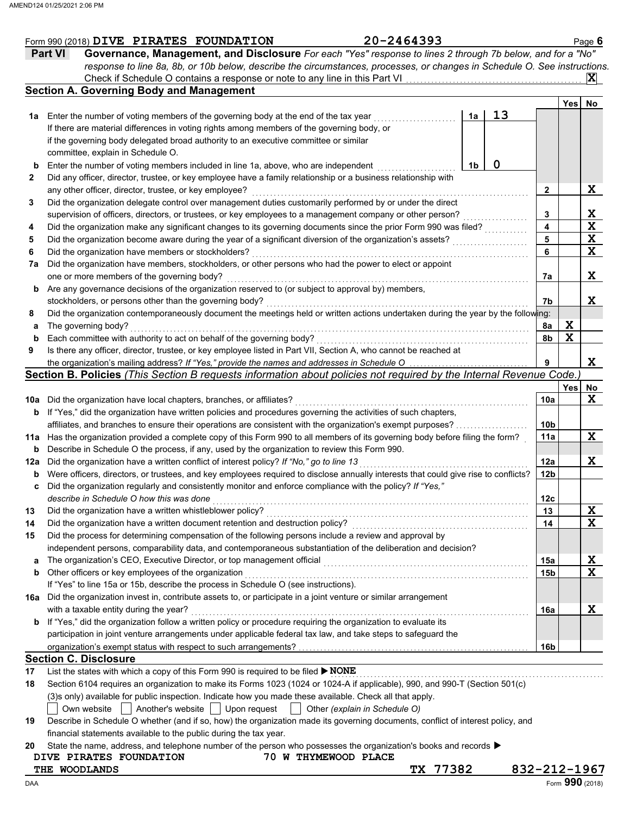|    | 20-2464393<br>Form 990 (2018) DIVE PIRATES FOUNDATION                                                                                |                 |             | Page $6$     |
|----|--------------------------------------------------------------------------------------------------------------------------------------|-----------------|-------------|--------------|
|    | Governance, Management, and Disclosure For each "Yes" response to lines 2 through 7b below, and for a "No"<br><b>Part VI</b>         |                 |             |              |
|    | response to line 8a, 8b, or 10b below, describe the circumstances, processes, or changes in Schedule O. See instructions.            |                 |             |              |
|    | Check if Schedule O contains a response or note to any line in this Part VI                                                          |                 |             | $ {\bf X} $  |
|    | <b>Section A. Governing Body and Management</b>                                                                                      |                 |             |              |
|    |                                                                                                                                      |                 | Yes         | No           |
|    | 13<br>1a<br>1a Enter the number of voting members of the governing body at the end of the tax year                                   |                 |             |              |
|    | If there are material differences in voting rights among members of the governing body, or                                           |                 |             |              |
|    | if the governing body delegated broad authority to an executive committee or similar                                                 |                 |             |              |
|    | committee, explain in Schedule O.                                                                                                    |                 |             |              |
| b  | 0<br>1 <sub>b</sub><br>Enter the number of voting members included in line 1a, above, who are independent                            |                 |             |              |
| 2  | Did any officer, director, trustee, or key employee have a family relationship or a business relationship with                       |                 |             |              |
|    | any other officer, director, trustee, or key employee?                                                                               | 2               |             | X            |
| 3  | Did the organization delegate control over management duties customarily performed by or under the direct                            |                 |             |              |
|    | supervision of officers, directors, or trustees, or key employees to a management company or other person?                           | 3               |             | X            |
| 4  | Did the organization make any significant changes to its governing documents since the prior Form 990 was filed?                     | 4               |             | X            |
| 5  | Did the organization become aware during the year of a significant diversion of the organization's assets?                           | 5               |             | $\mathbf x$  |
| 6  | Did the organization have members or stockholders?                                                                                   | 6               |             | $\mathbf{x}$ |
| 7a | Did the organization have members, stockholders, or other persons who had the power to elect or appoint                              |                 |             |              |
|    | one or more members of the governing body?                                                                                           | 7a              |             | X            |
| b  | Are any governance decisions of the organization reserved to (or subject to approval by) members,                                    |                 |             |              |
|    | stockholders, or persons other than the governing body?                                                                              | 7b              |             | X            |
| 8  | Did the organization contemporaneously document the meetings held or written actions undertaken during the year by the following:    |                 |             |              |
| а  | The governing body?                                                                                                                  | 8a              | X           |              |
| b  | Each committee with authority to act on behalf of the governing body?                                                                | 8b              | $\mathbf x$ |              |
| 9  | Is there any officer, director, trustee, or key employee listed in Part VII, Section A, who cannot be reached at                     |                 |             |              |
|    | the organization's mailing address? If "Yes," provide the names and addresses in Schedule O                                          | 9               |             | X            |
|    | Section B. Policies (This Section B requests information about policies not required by the Internal Revenue Code.                   |                 |             |              |
|    |                                                                                                                                      |                 | Yes         | No           |
|    | 10a Did the organization have local chapters, branches, or affiliates?                                                               | 10a             |             | X            |
|    | <b>b</b> If "Yes," did the organization have written policies and procedures governing the activities of such chapters,              |                 |             |              |
|    | affiliates, and branches to ensure their operations are consistent with the organization's exempt purposes?                          | 10 <sub>b</sub> |             |              |
|    | 11a Has the organization provided a complete copy of this Form 990 to all members of its governing body before filing the form?      | 11a             |             | X            |
| b  | Describe in Schedule O the process, if any, used by the organization to review this Form 990.                                        |                 |             |              |
|    | 12a Did the organization have a written conflict of interest policy? If "No," go to line 13                                          | 12a             |             | X            |
| b  | Were officers, directors, or trustees, and key employees required to disclose annually interests that could give rise to conflicts?  | 12 <sub>b</sub> |             |              |
| c  | Did the organization regularly and consistently monitor and enforce compliance with the policy? If "Yes,"                            |                 |             |              |
|    | describe in Schedule O how this was done                                                                                             | 12c             |             |              |
| 13 | Did the organization have a written whistleblower policy?                                                                            | 13              |             | X            |
| 14 | Did the organization have a written document retention and destruction policy?                                                       | 14              |             | X            |
| 15 | Did the process for determining compensation of the following persons include a review and approval by                               |                 |             |              |
|    | independent persons, comparability data, and contemporaneous substantiation of the deliberation and decision?                        |                 |             |              |
| а  | The organization's CEO, Executive Director, or top management official                                                               | 15a             |             | <u>x</u>     |
| b  | Other officers or key employees of the organization                                                                                  | 15 <sub>b</sub> |             | $\mathbf x$  |
|    | If "Yes" to line 15a or 15b, describe the process in Schedule O (see instructions).                                                  |                 |             |              |
|    | 16a Did the organization invest in, contribute assets to, or participate in a joint venture or similar arrangement                   |                 |             |              |
|    | with a taxable entity during the year?                                                                                               | 16a             |             | X            |
| b  | If "Yes," did the organization follow a written policy or procedure requiring the organization to evaluate its                       |                 |             |              |
|    | participation in joint venture arrangements under applicable federal tax law, and take steps to safeguard the                        |                 |             |              |
|    |                                                                                                                                      | 16b             |             |              |
|    | <b>Section C. Disclosure</b>                                                                                                         |                 |             |              |
| 17 | List the states with which a copy of this Form 990 is required to be filed ▶ NONE                                                    |                 |             |              |
| 18 | Section 6104 requires an organization to make its Forms 1023 (1024 or 1024-A if applicable), 990, and 990-T (Section 501(c)          |                 |             |              |
|    | (3)s only) available for public inspection. Indicate how you made these available. Check all that apply.                             |                 |             |              |
|    | Another's website                                                                                                                    |                 |             |              |
|    | Upon request<br>Own website<br>Other (explain in Schedule O)                                                                         |                 |             |              |
| 19 | Describe in Schedule O whether (and if so, how) the organization made its governing documents, conflict of interest policy, and      |                 |             |              |
|    | financial statements available to the public during the tax year.                                                                    |                 |             |              |
| 20 | State the name, address, and telephone number of the person who possesses the organization's books and records $\blacktriangleright$ |                 |             |              |
|    | 70 W THYMEWOOD PLACE<br>DIVE PIRATES FOUNDATION                                                                                      |                 |             |              |

| DIVE PIRATES<br><b>FOUNDATION</b> | 70<br><b>THYMEWOOD</b><br>PLACE<br>w |             |              |
|-----------------------------------|--------------------------------------|-------------|--------------|
| WOODLANDS<br>THE                  |                                      | 77382<br>πv | 832-212-1967 |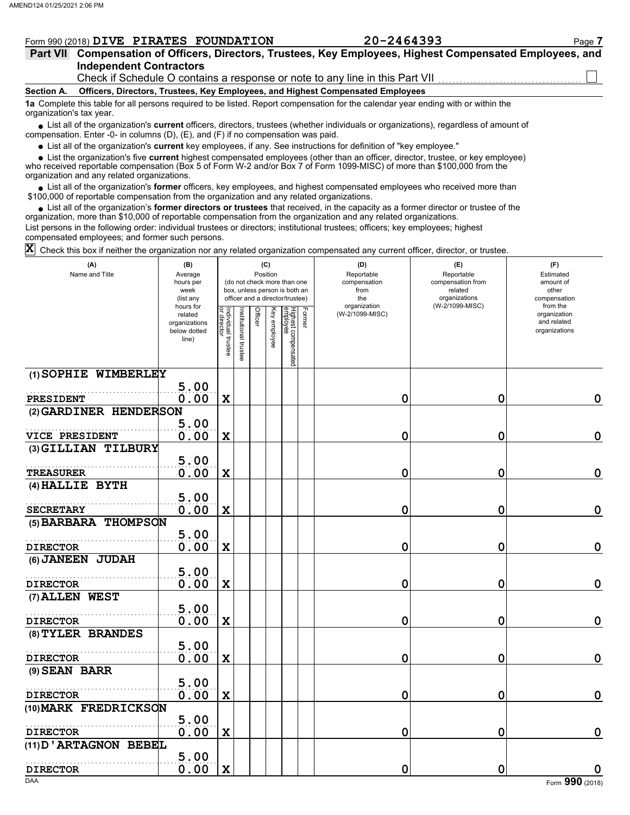|  | Form 990 (2018) DIVE PIRATES FOUNDATION | -2464393<br>20 | Page |
|--|-----------------------------------------|----------------|------|
|  |                                         |                |      |

| Part VII Compensation of Officers, Directors, Trustees, Key Employees, Highest Compensated Employees, and |
|-----------------------------------------------------------------------------------------------------------|
| <b>Independent Contractors</b>                                                                            |
| Check if Schedule O contains a response or note to any line in this Part VII                              |

#### **Section A. Officers, Directors, Trustees, Key Employees, and Highest Compensated Employees**

**1a** Complete this table for all persons required to be listed. Report compensation for the calendar year ending with or within the organization's tax year.

■ List all of the organization's **current** officers, directors, trustees (whether individuals or organizations), regardless of amount of compensation. Enter -0- in columns (D), (E), and (F) if no compensation was paid.

List all of the organization's **current** key employees, if any. See instructions for definition of "key employee."

■ List all of the organization's **current** key employees, if any. See instructions for definition of "key employee."<br>■ List the organization's five **current** highest compensated employees (other than an officer, director,

who received reportable compensation (Box 5 of Form W-2 and/or Box 7 of Form 1099-MISC) of more than \$100,000 from the organization and any related organizations.

• List all of the organization's **former** officers, key employees, and highest compensated employees who received more than<br>00,000 of reportable compensation from the organization and any related erganizations. \$100,000 of reportable compensation from the organization and any related organizations.

• List all of the organization's **former directors or trustees** that received, in the capacity as a former director or trustee of the organization, more than \$10,000 of reportable compensation from the organization and any related organizations. List persons in the following order: individual trustees or directors; institutional trustees; officers; key employees; highest

compensated employees; and former such persons.

 $\bar{\bm{\mathsf{X}}}$  Check this box if neither the organization nor any related organization compensated any current officer, director, or trustee.

| (A)<br>Name and Title               | (B)<br>Average<br>hours per<br>week<br>(list any               |                                   |                       |         | (C)<br>Position | (do not check more than one<br>box, unless person is both an<br>officer and a director/trustee) | (D)<br>Reportable<br>compensation<br>from<br>the | (E)<br>Reportable<br>compensation from<br>related<br>organizations | (F)<br>Estimated<br>amount of<br>other<br>compensation   |
|-------------------------------------|----------------------------------------------------------------|-----------------------------------|-----------------------|---------|-----------------|-------------------------------------------------------------------------------------------------|--------------------------------------------------|--------------------------------------------------------------------|----------------------------------------------------------|
|                                     | hours for<br>related<br>organizations<br>below dotted<br>line) | Individual trustee<br>or director | Institutional trustee | Officer | Key employee    | Former<br>Highest compensated<br>employee                                                       | organization<br>(W-2/1099-MISC)                  | (W-2/1099-MISC)                                                    | from the<br>organization<br>and related<br>organizations |
| (1) SOPHIE WIMBERLEY                |                                                                |                                   |                       |         |                 |                                                                                                 |                                                  |                                                                    |                                                          |
|                                     | 5.00                                                           |                                   |                       |         |                 |                                                                                                 |                                                  |                                                                    |                                                          |
| PRESIDENT<br>(2) GARDINER HENDERSON | 0.00                                                           | X                                 |                       |         |                 |                                                                                                 | 0                                                | 0                                                                  | $\mathbf 0$                                              |
|                                     | 5.00                                                           |                                   |                       |         |                 |                                                                                                 |                                                  |                                                                    |                                                          |
| VICE PRESIDENT                      | 0.00                                                           | X                                 |                       |         |                 |                                                                                                 | 0                                                | 0                                                                  | $\mathbf 0$                                              |
| (3) GILLIAN TILBURY                 |                                                                |                                   |                       |         |                 |                                                                                                 |                                                  |                                                                    |                                                          |
|                                     | 5.00                                                           |                                   |                       |         |                 |                                                                                                 |                                                  |                                                                    |                                                          |
| <b>TREASURER</b>                    | 0.00                                                           | $\mathbf x$                       |                       |         |                 |                                                                                                 | 0                                                | 0                                                                  | $\mathbf 0$                                              |
| (4) HALLIE BYTH                     |                                                                |                                   |                       |         |                 |                                                                                                 |                                                  |                                                                    |                                                          |
|                                     | 5.00                                                           |                                   |                       |         |                 |                                                                                                 |                                                  |                                                                    |                                                          |
| <b>SECRETARY</b>                    | 0.00                                                           | $\mathbf x$                       |                       |         |                 |                                                                                                 | 0                                                | 0                                                                  | $\mathbf 0$                                              |
| (5) BARBARA THOMPSON                |                                                                |                                   |                       |         |                 |                                                                                                 |                                                  |                                                                    |                                                          |
| <b>DIRECTOR</b>                     | 5.00<br>0.00                                                   | $\mathbf x$                       |                       |         |                 |                                                                                                 | 0                                                | 0                                                                  | $\mathbf 0$                                              |
| (6) JANEEN JUDAH                    |                                                                |                                   |                       |         |                 |                                                                                                 |                                                  |                                                                    |                                                          |
|                                     | 5.00                                                           |                                   |                       |         |                 |                                                                                                 |                                                  |                                                                    |                                                          |
| <b>DIRECTOR</b>                     | 0.00                                                           | $\mathbf x$                       |                       |         |                 |                                                                                                 | 0                                                | 0                                                                  | $\mathbf 0$                                              |
| (7) ALLEN WEST                      |                                                                |                                   |                       |         |                 |                                                                                                 |                                                  |                                                                    |                                                          |
|                                     | 5.00                                                           |                                   |                       |         |                 |                                                                                                 |                                                  |                                                                    |                                                          |
| <b>DIRECTOR</b>                     | 0.00                                                           | $\mathbf x$                       |                       |         |                 |                                                                                                 | 0                                                | 0                                                                  | $\mathbf 0$                                              |
| (8) TYLER BRANDES                   |                                                                |                                   |                       |         |                 |                                                                                                 |                                                  |                                                                    |                                                          |
|                                     | 5.00                                                           |                                   |                       |         |                 |                                                                                                 |                                                  |                                                                    |                                                          |
| <b>DIRECTOR</b><br>(9) SEAN BARR    | 0.00                                                           | $\mathbf x$                       |                       |         |                 |                                                                                                 | 0                                                | 0                                                                  | $\mathbf 0$                                              |
|                                     | 5.00                                                           |                                   |                       |         |                 |                                                                                                 |                                                  |                                                                    |                                                          |
| <b>DIRECTOR</b>                     | 0.00                                                           | $\mathbf x$                       |                       |         |                 |                                                                                                 | 0                                                | 0                                                                  | $\mathbf 0$                                              |
| (10) MARK FREDRICKSON               |                                                                |                                   |                       |         |                 |                                                                                                 |                                                  |                                                                    |                                                          |
|                                     | 5.00                                                           |                                   |                       |         |                 |                                                                                                 |                                                  |                                                                    |                                                          |
| <b>DIRECTOR</b>                     | 0.00                                                           | X                                 |                       |         |                 |                                                                                                 | 0                                                | 0                                                                  | $\mathbf 0$                                              |
| (11) D'ARTAGNON BEBEL               |                                                                |                                   |                       |         |                 |                                                                                                 |                                                  |                                                                    |                                                          |
|                                     | 5.00                                                           |                                   |                       |         |                 |                                                                                                 |                                                  |                                                                    |                                                          |
| <b>DIRECTOR</b><br>DAA              | 0.00                                                           | X                                 |                       |         |                 |                                                                                                 | 0                                                | 0                                                                  | O<br>Form 990 (2018)                                     |
|                                     |                                                                |                                   |                       |         |                 |                                                                                                 |                                                  |                                                                    |                                                          |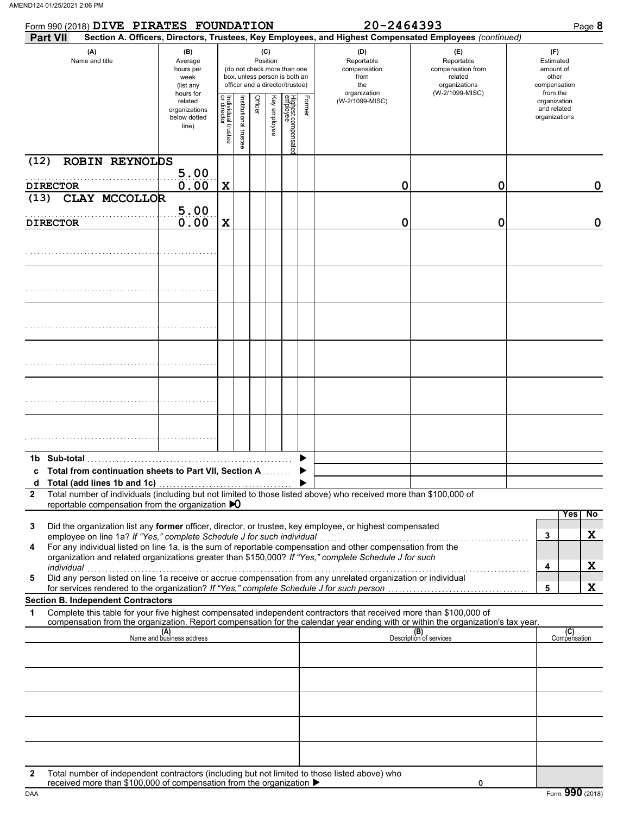| Form 990 (2018) DIVE PIRATES FOUNDATION                                                                                                                                                                                                                     |                                                               |                                   | 20-2464393            | Page 8                                                                                                             |              |                                |        |                                                                                                        |                                                                                       |                                                                    |
|-------------------------------------------------------------------------------------------------------------------------------------------------------------------------------------------------------------------------------------------------------------|---------------------------------------------------------------|-----------------------------------|-----------------------|--------------------------------------------------------------------------------------------------------------------|--------------|--------------------------------|--------|--------------------------------------------------------------------------------------------------------|---------------------------------------------------------------------------------------|--------------------------------------------------------------------|
| <b>Part VII</b>                                                                                                                                                                                                                                             |                                                               |                                   |                       |                                                                                                                    |              |                                |        | Section A. Officers, Directors, Trustees, Key Employees, and Highest Compensated Employees (continued) |                                                                                       |                                                                    |
| (A)<br>Name and title                                                                                                                                                                                                                                       | (B)<br>Average<br>hours per<br>week<br>(list any<br>hours for |                                   |                       | (C)<br>Position<br>(do not check more than one<br>box, unless person is both an<br>officer and a director/trustee) |              |                                |        | (D)<br>Reportable<br>compensation<br>from<br>the<br>organization                                       | (E)<br>Reportable<br>compensation from<br>related<br>organizations<br>(W-2/1099-MISC) | (F)<br>Estimated<br>amount of<br>other<br>compensation<br>from the |
|                                                                                                                                                                                                                                                             | related<br>organizations<br>below dotted<br>line)             | Individual trustee<br>or director | Institutional trustee | Officer                                                                                                            | Key employee | Highest compensate<br>employee | Former | (W-2/1099-MISC)                                                                                        |                                                                                       | organization<br>and related<br>organizations                       |
| (12)<br><b>ROBIN REYNOLDS</b>                                                                                                                                                                                                                               |                                                               |                                   |                       |                                                                                                                    |              |                                |        |                                                                                                        |                                                                                       |                                                                    |
| <b>DIRECTOR</b>                                                                                                                                                                                                                                             | 5.00<br>0.00                                                  | X                                 |                       |                                                                                                                    |              |                                |        | 0                                                                                                      | 0                                                                                     | 0                                                                  |
| CLAY MCCOLLOR<br>(13)                                                                                                                                                                                                                                       |                                                               |                                   |                       |                                                                                                                    |              |                                |        |                                                                                                        |                                                                                       |                                                                    |
| <b>DIRECTOR</b>                                                                                                                                                                                                                                             | 5.00<br>0.00                                                  | $\mathbf X$                       |                       |                                                                                                                    |              |                                |        | 0                                                                                                      | 0                                                                                     | $\mathbf 0$                                                        |
|                                                                                                                                                                                                                                                             |                                                               |                                   |                       |                                                                                                                    |              |                                |        |                                                                                                        |                                                                                       |                                                                    |
|                                                                                                                                                                                                                                                             |                                                               |                                   |                       |                                                                                                                    |              |                                |        |                                                                                                        |                                                                                       |                                                                    |
|                                                                                                                                                                                                                                                             |                                                               |                                   |                       |                                                                                                                    |              |                                |        |                                                                                                        |                                                                                       |                                                                    |
|                                                                                                                                                                                                                                                             |                                                               |                                   |                       |                                                                                                                    |              |                                |        |                                                                                                        |                                                                                       |                                                                    |
|                                                                                                                                                                                                                                                             |                                                               |                                   |                       |                                                                                                                    |              |                                |        |                                                                                                        |                                                                                       |                                                                    |
|                                                                                                                                                                                                                                                             |                                                               |                                   |                       |                                                                                                                    |              |                                |        |                                                                                                        |                                                                                       |                                                                    |
| Total from continuation sheets to Part VII, Section A                                                                                                                                                                                                       |                                                               |                                   |                       |                                                                                                                    |              |                                |        |                                                                                                        |                                                                                       |                                                                    |
| Total number of individuals (including but not limited to those listed above) who received more than \$100,000 of<br>2<br>reportable compensation from the organization $\bigtriangledown$                                                                  |                                                               |                                   |                       |                                                                                                                    |              |                                |        |                                                                                                        |                                                                                       |                                                                    |
| Did the organization list any former officer, director, or trustee, key employee, or highest compensated<br>3<br>employee on line 1a? If "Yes," complete Schedule J for such individual                                                                     |                                                               |                                   |                       |                                                                                                                    |              |                                |        |                                                                                                        |                                                                                       | <b>Yes</b><br>No<br>X<br>3                                         |
| For any individual listed on line 1a, is the sum of reportable compensation and other compensation from the<br>4<br>organization and related organizations greater than \$150,000? If "Yes," complete Schedule J for such<br>individual                     |                                                               |                                   |                       |                                                                                                                    |              |                                |        |                                                                                                        |                                                                                       | X<br>4                                                             |
| narviauar<br>Did any person listed on line 1a receive or accrue compensation from any unrelated organization or individual<br>5<br>for services rendered to the organization? If "Yes," complete Schedule J for such person                                 |                                                               |                                   |                       |                                                                                                                    |              |                                |        |                                                                                                        |                                                                                       | X<br>5                                                             |
| <b>Section B. Independent Contractors</b>                                                                                                                                                                                                                   |                                                               |                                   |                       |                                                                                                                    |              |                                |        |                                                                                                        |                                                                                       |                                                                    |
| Complete this table for your five highest compensated independent contractors that received more than \$100,000 of<br>1<br>compensation from the organization. Report compensation for the calendar year ending with or within the organization's tax year. |                                                               |                                   |                       |                                                                                                                    |              |                                |        |                                                                                                        |                                                                                       |                                                                    |
|                                                                                                                                                                                                                                                             | (A)<br>Name and business address                              |                                   |                       |                                                                                                                    |              |                                |        |                                                                                                        | (B)<br>Description of services                                                        | (C)<br>Compensation                                                |
|                                                                                                                                                                                                                                                             |                                                               |                                   |                       |                                                                                                                    |              |                                |        |                                                                                                        |                                                                                       |                                                                    |
|                                                                                                                                                                                                                                                             |                                                               |                                   |                       |                                                                                                                    |              |                                |        |                                                                                                        |                                                                                       |                                                                    |
|                                                                                                                                                                                                                                                             |                                                               |                                   |                       |                                                                                                                    |              |                                |        |                                                                                                        |                                                                                       |                                                                    |
|                                                                                                                                                                                                                                                             |                                                               |                                   |                       |                                                                                                                    |              |                                |        |                                                                                                        |                                                                                       |                                                                    |
| Total number of independent contractors (including but not limited to those listed above) who<br>2<br>received more than \$100,000 of compensation from the organization ▶                                                                                  |                                                               |                                   |                       |                                                                                                                    |              |                                |        |                                                                                                        | 0                                                                                     |                                                                    |

DAA Form **990** (2018) received more than \$100,000 of compensation from the organization  $\blacktriangleright$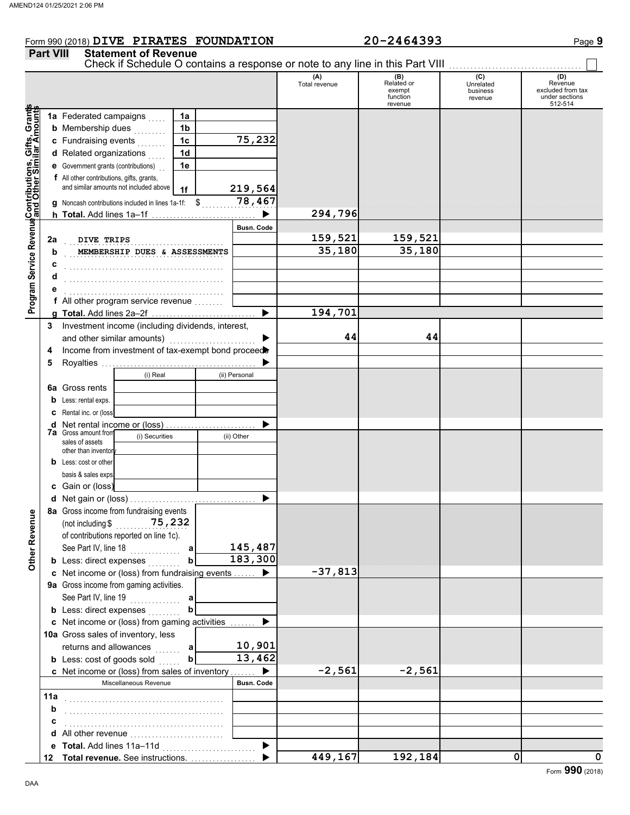### Form 990 (2018) Page **9 DIVE PIRATES FOUNDATION 20-2464393 Part VIII Statement of Revenue**

|                                                                                                            |     | Check if Schedule O contains a response or note to any line in this Part VIII |             |                        |                      |                                                    |                                         |                                                                  |
|------------------------------------------------------------------------------------------------------------|-----|-------------------------------------------------------------------------------|-------------|------------------------|----------------------|----------------------------------------------------|-----------------------------------------|------------------------------------------------------------------|
|                                                                                                            |     |                                                                               |             |                        | (A)<br>Total revenue | (B)<br>Related or<br>exempt<br>function<br>revenue | (C)<br>Unrelated<br>business<br>revenue | (D)<br>Revenue<br>excluded from tax<br>under sections<br>512-514 |
|                                                                                                            |     | 1a Federated campaigns<br>1a                                                  |             |                        |                      |                                                    |                                         |                                                                  |
|                                                                                                            |     | 1 <sub>b</sub><br><b>b</b> Membership dues<br>.                               |             |                        |                      |                                                    |                                         |                                                                  |
|                                                                                                            |     | 1 <sub>c</sub><br>c Fundraising events                                        |             | 75,232                 |                      |                                                    |                                         |                                                                  |
|                                                                                                            |     | 1 <sub>d</sub><br>d Related organizations<br>$\sim 1.1$ .                     |             |                        |                      |                                                    |                                         |                                                                  |
|                                                                                                            |     | e Government grants (contributions)<br>1e                                     |             |                        |                      |                                                    |                                         |                                                                  |
|                                                                                                            |     | f All other contributions, gifts, grants,                                     |             |                        |                      |                                                    |                                         |                                                                  |
|                                                                                                            |     | and similar amounts not included above<br>1f                                  |             | 219,564                |                      |                                                    |                                         |                                                                  |
|                                                                                                            |     | g Noncash contributions included in lines 1a-1f: \$                           |             | 78,467                 |                      |                                                    |                                         |                                                                  |
|                                                                                                            |     | h Total. Add lines 1a-1f                                                      |             | ▶                      | 294,796              |                                                    |                                         |                                                                  |
|                                                                                                            |     |                                                                               |             | <b>Busn. Code</b>      |                      |                                                    |                                         |                                                                  |
|                                                                                                            | 2a  | DIVE TRIPS                                                                    |             |                        | 159,521              | 159,521                                            |                                         |                                                                  |
| Program Service RevenueContributions, Gifts, Grants<br>Program Service RevenueContributions, Gifts, Grants | b   | MEMBERSHIP DUES & ASSESSMENTS                                                 |             |                        | 35,180               | 35,180                                             |                                         |                                                                  |
|                                                                                                            | c   |                                                                               |             |                        |                      |                                                    |                                         |                                                                  |
|                                                                                                            | d   |                                                                               |             |                        |                      |                                                    |                                         |                                                                  |
|                                                                                                            |     |                                                                               |             |                        |                      |                                                    |                                         |                                                                  |
|                                                                                                            |     | f All other program service revenue                                           |             |                        |                      |                                                    |                                         |                                                                  |
|                                                                                                            |     |                                                                               |             |                        | 194,701              |                                                    |                                         |                                                                  |
|                                                                                                            | 3   | Investment income (including dividends, interest,                             |             |                        |                      |                                                    |                                         |                                                                  |
|                                                                                                            |     | and other similar amounts)                                                    |             |                        | 44                   | 44                                                 |                                         |                                                                  |
|                                                                                                            | 4   | Income from investment of tax-exempt bond proceed                             |             |                        |                      |                                                    |                                         |                                                                  |
|                                                                                                            | 5   |                                                                               |             |                        |                      |                                                    |                                         |                                                                  |
|                                                                                                            |     | (i) Real                                                                      |             | (ii) Personal          |                      |                                                    |                                         |                                                                  |
|                                                                                                            | 6а  | Gross rents                                                                   |             |                        |                      |                                                    |                                         |                                                                  |
|                                                                                                            |     | Less: rental exps.                                                            |             |                        |                      |                                                    |                                         |                                                                  |
|                                                                                                            |     | C Rental inc. or (loss)                                                       |             |                        |                      |                                                    |                                         |                                                                  |
|                                                                                                            |     | d Net rental income or (loss)<br>7a Gross amount from                         |             |                        |                      |                                                    |                                         |                                                                  |
|                                                                                                            |     | (i) Securities<br>sales of assets                                             |             | (ii) Other             |                      |                                                    |                                         |                                                                  |
|                                                                                                            |     | other than inventor                                                           |             |                        |                      |                                                    |                                         |                                                                  |
|                                                                                                            |     | Less: cost or other                                                           |             |                        |                      |                                                    |                                         |                                                                  |
|                                                                                                            |     | basis & sales exps                                                            |             |                        |                      |                                                    |                                         |                                                                  |
|                                                                                                            |     | c Gain or (loss)                                                              |             |                        |                      |                                                    |                                         |                                                                  |
|                                                                                                            |     |                                                                               |             | ▶                      |                      |                                                    |                                         |                                                                  |
| ₫                                                                                                          |     | 8a Gross income from fundraising events                                       |             |                        |                      |                                                    |                                         |                                                                  |
|                                                                                                            |     | (not including $$75,232$                                                      |             |                        |                      |                                                    |                                         |                                                                  |
|                                                                                                            |     | of contributions reported on line 1c).                                        |             |                        |                      |                                                    |                                         |                                                                  |
| Other Rever                                                                                                |     | See Part IV, line 18<br>.                                                     | a           | 145,487                |                      |                                                    |                                         |                                                                  |
|                                                                                                            |     | <b>b</b> Less: direct expenses                                                | $\mathbf b$ | $\overline{183}$ , 300 |                      |                                                    |                                         |                                                                  |
|                                                                                                            |     | c Net income or (loss) from fundraising events                                |             |                        | $-37,813$            |                                                    |                                         |                                                                  |
|                                                                                                            |     | 9a Gross income from gaming activities.                                       |             |                        |                      |                                                    |                                         |                                                                  |
|                                                                                                            |     |                                                                               |             |                        |                      |                                                    |                                         |                                                                  |
|                                                                                                            |     | <b>b</b> Less: direct expenses                                                | b           |                        |                      |                                                    |                                         |                                                                  |
|                                                                                                            |     | c Net income or (loss) from gaming activities                                 |             |                        |                      |                                                    |                                         |                                                                  |
|                                                                                                            |     | 10a Gross sales of inventory, less                                            |             |                        |                      |                                                    |                                         |                                                                  |
|                                                                                                            |     | returns and allowances<br>.                                                   | a           | 10,901<br>13,462       |                      |                                                    |                                         |                                                                  |
|                                                                                                            |     | <b>b</b> Less: cost of goods sold                                             | $\mathbf b$ | ▶                      | $-2,561$             | $-2,561$                                           |                                         |                                                                  |
|                                                                                                            |     | c Net income or (loss) from sales of inventory.<br>Miscellaneous Revenue      |             | <b>Busn. Code</b>      |                      |                                                    |                                         |                                                                  |
|                                                                                                            |     |                                                                               |             |                        |                      |                                                    |                                         |                                                                  |
|                                                                                                            | 11a |                                                                               |             |                        |                      |                                                    |                                         |                                                                  |
|                                                                                                            | b   |                                                                               |             |                        |                      |                                                    |                                         |                                                                  |
|                                                                                                            | с   |                                                                               |             |                        |                      |                                                    |                                         |                                                                  |
|                                                                                                            |     | e Total. Add lines 11a-11d                                                    |             | ▶                      |                      |                                                    |                                         |                                                                  |
|                                                                                                            |     | <b>Total revenue.</b> See instructions.                                       |             |                        | 449,167              | 192,184                                            | 0                                       | 0                                                                |
|                                                                                                            |     |                                                                               |             |                        |                      |                                                    |                                         |                                                                  |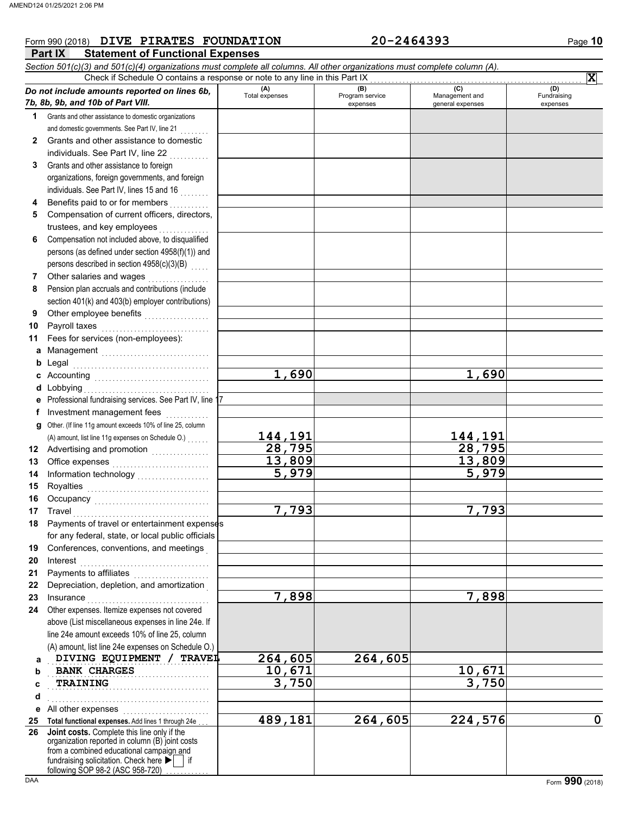#### **Part IX Statement of Functional Expenses** Form 990 (2018) Page **10 DIVE PIRATES FOUNDATION 20-2464393** *Section 501(c)(3) and 501(c)(4) organizations must complete all columns. All other organizations must complete column (A). Do not include amounts reported on lines 6b, 7b, 8b, 9b, and 10b of Part VIII.* **1 2 3 4 5 6 7 8 9 10 11 a** Management .............................. **b** Legal **c** Accounting . . . . . . . . . . . . . . . . . . . . . . . . . . . . . . . . **d** Lobbying . . . . . . . . . . . . . . . . . . . . . . . . . . . . . . . . . . . **e** Professional fundraising services. See Part IV, line 17 **f g** Other. (If line 11g amount exceeds 10% of line 25, column **12** Advertising and promotion **. . . . . . . . . . . .** . . **13 14 15 16 17 18 19 20 21 22 23 24 a b c d e** All other expenses . . . . . . . . . . . . . . . . . . . . . . . . **25 Total functional expenses.** Add lines 1 through 24e . . . **26** Grants and other assistance to domestic organizations and domestic governments. See Part IV, line 21 Grants and other assistance to domestic individuals. See Part IV, line 22 Grants and other assistance to foreign organizations, foreign governments, and foreign individuals. See Part IV, lines 15 and 16 Benefits paid to or for members . . . . . . . . . . Compensation of current officers, directors, trustees, and key employees Compensation not included above, to disqualified persons (as defined under section 4958(f)(1)) and persons described in section 4958(c)(3)(B) Other salaries and wages .................. Pension plan accruals and contributions (include section 401(k) and 403(b) employer contributions) Other employee benefits ................... Payroll taxes Fees for services (non-employees): Legal . . . . . . . . . . . . . . . . . . . . . . . . . . . . . . . . . . . . . . Investment management fees ............. Office expenses . . . . . . . . . . . . . . . . . . . . . . . . . . . Information technology . . . . . . . . . . . . . . . . . . . . Royalties . . . . . . . . . . . . . . . . . . . . . . . . . . . . . . . . . . Occupancy . . . . . . . . . . . . . . . . . . . . . . . . . . . . . . . . Travel . . . . . . . . . . . . . . . . . . . . . . . . . . . . . . . . . . . . . . Payments of travel or entertainment expenses for any federal, state, or local public officials Conferences, conventions, and meetings . Interest . . . . . . . . . . . . . . . . . . . . . . . . . . . . . . . . . . . . Payments to affiliates ................. Depreciation, depletion, and amortization . Insurance . . . . . . . . . . . . . . . . . . . . . . . . . . . . . . . . . . Other expenses. Itemize expenses not covered above (List miscellaneous expenses in line 24e. If line 24e amount exceeds 10% of line 25, column (A) amount, list line 24e expenses on Schedule O.) fundraising solicitation. Check here  $\blacktriangleright$  | if organization reported in column (B) joint costs from a combined educational campaign and following SOP 98-2 (ASC 958-720) **(A) (B)** (B) (B) (C) (C) (A) (D)<br>Total expenses Program service Management and Fundrai expenses and general expenses (D)<br>Fundraising expenses **DIVING EQUIPMENT / TRAVEL 264,605** 264,605 **BANK CHARGES 10,671 10,671 TRAINING** . . . . . . . . . . . . . . . . . . . . . . . . . . . . . . . . . . . . . . . . . . . . . Check if Schedule O contains a response or note to any line in this Part IX **Joint costs.** Complete this line only if the (A) amount, list line 11g expenses on Schedule O.) . . . . . . . **X 1,690 1,690 144,191 144,191 28,795 28,795 13,809 13,809 5,979 5,979 7,793 7,793 7,898 7,898 TRAINING 3,750 3,750 489,181 264,605 224,576 0**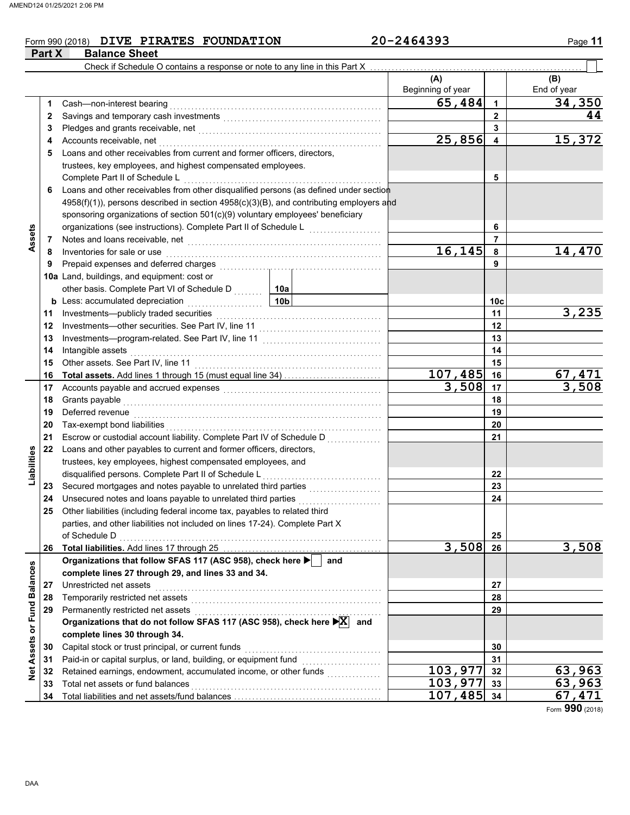### Form 990 (2018) **DIVE PIRATES FOUNDATION** 20-2464393 Page 11 **Part X** Balance Sheet

|                 |    | Check if Schedule O contains a response or note to any line in this Part X                                                                                                                                                     |     |                          |                 |                    |
|-----------------|----|--------------------------------------------------------------------------------------------------------------------------------------------------------------------------------------------------------------------------------|-----|--------------------------|-----------------|--------------------|
|                 |    |                                                                                                                                                                                                                                |     | (A)<br>Beginning of year |                 | (B)<br>End of year |
|                 | 1. | Cash-non-interest bearing                                                                                                                                                                                                      |     | 65,484                   | 1               | 34,350             |
|                 | 2  |                                                                                                                                                                                                                                |     |                          | $\mathbf{2}$    | 44                 |
|                 | 3  |                                                                                                                                                                                                                                |     |                          | 3               |                    |
|                 | 4  | Accounts receivable, net                                                                                                                                                                                                       |     | $\overline{25}$ , 856    | 4               | 15,372             |
|                 | 5  | Loans and other receivables from current and former officers, directors,                                                                                                                                                       |     |                          |                 |                    |
|                 |    | trustees, key employees, and highest compensated employees.                                                                                                                                                                    |     |                          |                 |                    |
|                 |    | Complete Part II of Schedule L                                                                                                                                                                                                 |     |                          | 5               |                    |
|                 | 6  | Loans and other receivables from other disqualified persons (as defined under section                                                                                                                                          |     |                          |                 |                    |
|                 |    | $4958(f)(1)$ ), persons described in section $4958(c)(3)(B)$ , and contributing employers and                                                                                                                                  |     |                          |                 |                    |
|                 |    | sponsoring organizations of section 501(c)(9) voluntary employees' beneficiary                                                                                                                                                 |     |                          |                 |                    |
|                 |    | organizations (see instructions). Complete Part II of Schedule L                                                                                                                                                               |     |                          | 6               |                    |
| Assets          | 7  |                                                                                                                                                                                                                                |     | 7                        |                 |                    |
|                 | 8  | Inventories for sale or use                                                                                                                                                                                                    |     | $\overline{16}$ , 145    | 8               | 14,470             |
|                 | 9  | Prepaid expenses and deferred charges                                                                                                                                                                                          |     |                          | 9               |                    |
|                 |    | 10a Land, buildings, and equipment: cost or                                                                                                                                                                                    |     |                          |                 |                    |
|                 |    | other basis. Complete Part VI of Schedule D  10a                                                                                                                                                                               |     |                          |                 |                    |
|                 |    | <u>10b</u><br><b>b</b> Less: accumulated depreciation                                                                                                                                                                          |     |                          | 10 <sub>c</sub> |                    |
|                 | 11 | Investments-publicly traded securities                                                                                                                                                                                         |     |                          | 11              | 3,235              |
|                 | 12 |                                                                                                                                                                                                                                |     |                          | 12              |                    |
|                 | 13 |                                                                                                                                                                                                                                |     | 13                       |                 |                    |
|                 | 14 | Intangible assets                                                                                                                                                                                                              |     | 14                       |                 |                    |
|                 | 15 | Other assets. See Part IV, line 11                                                                                                                                                                                             |     | 15                       |                 |                    |
|                 | 16 | Total assets. Add lines 1 through 15 (must equal line 34)                                                                                                                                                                      |     | 107,485                  | 16              | 67,471             |
|                 | 17 |                                                                                                                                                                                                                                |     | 3,508                    | 17              | 3,508              |
|                 | 18 | Grants payable                                                                                                                                                                                                                 |     |                          | 18              |                    |
|                 | 19 | Deferred revenue                                                                                                                                                                                                               |     |                          | 19              |                    |
|                 | 20 | Tax-exempt bond liabilities                                                                                                                                                                                                    |     |                          | 20              |                    |
|                 | 21 | Escrow or custodial account liability. Complete Part IV of Schedule D                                                                                                                                                          |     |                          | 21              |                    |
|                 | 22 | Loans and other payables to current and former officers, directors,                                                                                                                                                            |     |                          |                 |                    |
| Liabilities     |    | trustees, key employees, highest compensated employees, and                                                                                                                                                                    |     |                          |                 |                    |
|                 |    | disqualified persons. Complete Part II of Schedule L                                                                                                                                                                           |     |                          | 22              |                    |
|                 | 23 |                                                                                                                                                                                                                                |     |                          | 23              |                    |
|                 | 24 | Unsecured notes and loans payable to unrelated third parties                                                                                                                                                                   |     |                          | 24              |                    |
|                 | 25 | Other liabilities (including federal income tax, payables to related third                                                                                                                                                     |     |                          |                 |                    |
|                 |    | parties, and other liabilities not included on lines 17-24). Complete Part X                                                                                                                                                   |     |                          |                 |                    |
|                 |    |                                                                                                                                                                                                                                |     |                          | 25              |                    |
|                 | 26 |                                                                                                                                                                                                                                |     | 3,508                    | 26              | 3,508              |
|                 |    | Organizations that follow SFAS 117 (ASC 958), check here ▶                                                                                                                                                                     | and |                          |                 |                    |
| <b>Balances</b> |    | complete lines 27 through 29, and lines 33 and 34.                                                                                                                                                                             |     |                          |                 |                    |
|                 | 27 | Unrestricted net assets                                                                                                                                                                                                        |     |                          | 27              |                    |
|                 | 28 | Temporarily restricted net assets with an amount of the state of the state of the state of the state of the state of the state of the state of the state of the state of the state of the state of the state of the state of t |     |                          | 28              |                    |
|                 | 29 | Permanently restricted net assets                                                                                                                                                                                              |     |                          | 29              |                    |
| or Fund         |    | Organizations that do not follow SFAS 117 (ASC 958), check here ▶ X and                                                                                                                                                        |     |                          |                 |                    |
|                 |    | complete lines 30 through 34.                                                                                                                                                                                                  |     |                          |                 |                    |
| Assets          | 30 | Capital stock or trust principal, or current funds                                                                                                                                                                             |     |                          | 30              |                    |
|                 | 31 | Paid-in or capital surplus, or land, building, or equipment fund                                                                                                                                                               |     |                          | 31              |                    |
| $\frac{1}{2}$   | 32 | Retained earnings, endowment, accumulated income, or other funds                                                                                                                                                               |     | 103,977                  | 32              | 63,963             |
|                 | 33 | Total net assets or fund balances                                                                                                                                                                                              |     | 103,977                  | 33              | 63,963             |
|                 | 34 |                                                                                                                                                                                                                                |     | 107,485 34               |                 | 67,471             |

Form **990** (2018)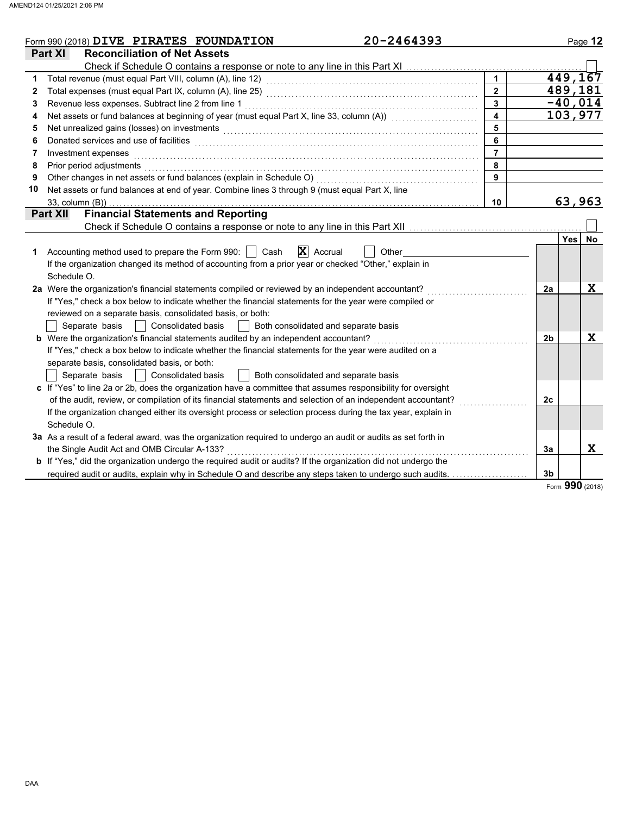|    | 20-2464393<br>Form 990 (2018) DIVE PIRATES FOUNDATION                                                                                                                |                |                | Page 12              |  |
|----|----------------------------------------------------------------------------------------------------------------------------------------------------------------------|----------------|----------------|----------------------|--|
|    | <b>Reconciliation of Net Assets</b><br><b>Part XI</b>                                                                                                                |                |                |                      |  |
|    |                                                                                                                                                                      |                |                |                      |  |
| 1  |                                                                                                                                                                      |                |                | 449,167              |  |
| 2  |                                                                                                                                                                      | $\overline{2}$ |                | 489,181              |  |
| 3  | Revenue less expenses. Subtract line 2 from line 1                                                                                                                   | $\overline{3}$ |                | $\overline{-40,014}$ |  |
| 4  | Net assets or fund balances at beginning of year (must equal Part X, line 33, column (A)) [[[[[[[[[[[[[[[[[[[                                                        | 4              |                | 103,977              |  |
| 5  | Net unrealized gains (losses) on investments                                                                                                                         | 5              |                |                      |  |
| 6  | Donated services and use of facilities                                                                                                                               | 6              |                |                      |  |
| 7  | Investment expenses                                                                                                                                                  | $\overline{7}$ |                |                      |  |
| 8  | Prior period adjustments                                                                                                                                             | 8              |                |                      |  |
| 9  | Other changes in net assets or fund balances (explain in Schedule O)                                                                                                 | 9              |                |                      |  |
| 10 | Net assets or fund balances at end of year. Combine lines 3 through 9 (must equal Part X, line                                                                       |                |                |                      |  |
|    | $33$ , column $(B)$ )                                                                                                                                                | 10             |                | 63,963               |  |
|    | <b>Financial Statements and Reporting</b><br><b>Part XII</b>                                                                                                         |                |                |                      |  |
|    | Check if Schedule O contains a response or note to any line in this Part XII [111] [11] Check if Schedule O contains a response or note to any line in this Part XII |                |                |                      |  |
|    |                                                                                                                                                                      |                |                | <b>Yes</b><br>No     |  |
| 1  | $ \mathbf{X} $ Accrual<br>Accounting method used to prepare the Form 990:     Cash<br>Other                                                                          |                |                |                      |  |
|    | If the organization changed its method of accounting from a prior year or checked "Other," explain in                                                                |                |                |                      |  |
|    | Schedule O.                                                                                                                                                          |                |                |                      |  |
|    | 2a Were the organization's financial statements compiled or reviewed by an independent accountant?                                                                   |                | 2a             | X                    |  |
|    | If "Yes," check a box below to indicate whether the financial statements for the year were compiled or                                                               |                |                |                      |  |
|    | reviewed on a separate basis, consolidated basis, or both:                                                                                                           |                |                |                      |  |
|    | Both consolidated and separate basis<br>Separate basis<br><b>Consolidated basis</b><br>$\mathcal{L}$                                                                 |                |                |                      |  |
|    | <b>b</b> Were the organization's financial statements audited by an independent accountant?                                                                          |                | 2b             | $\mathbf x$          |  |
|    | If "Yes," check a box below to indicate whether the financial statements for the year were audited on a                                                              |                |                |                      |  |
|    | separate basis, consolidated basis, or both:                                                                                                                         |                |                |                      |  |
|    | Separate basis<br><b>Consolidated basis</b><br>Both consolidated and separate basis                                                                                  |                |                |                      |  |
|    | c If "Yes" to line 2a or 2b, does the organization have a committee that assumes responsibility for oversight                                                        |                |                |                      |  |
|    | of the audit, review, or compilation of its financial statements and selection of an independent accountant?                                                         |                | 2c             |                      |  |
|    | If the organization changed either its oversight process or selection process during the tax year, explain in                                                        |                |                |                      |  |
|    | Schedule O.                                                                                                                                                          |                |                |                      |  |
|    | 3a As a result of a federal award, was the organization required to undergo an audit or audits as set forth in                                                       |                |                |                      |  |
|    | the Single Audit Act and OMB Circular A-133?                                                                                                                         |                | 3a             | X                    |  |
|    | b If "Yes," did the organization undergo the required audit or audits? If the organization did not undergo the                                                       |                |                |                      |  |
|    | required audit or audits, explain why in Schedule O and describe any steps taken to undergo such audits.                                                             |                | 3 <sub>b</sub> |                      |  |

Form **990** (2018)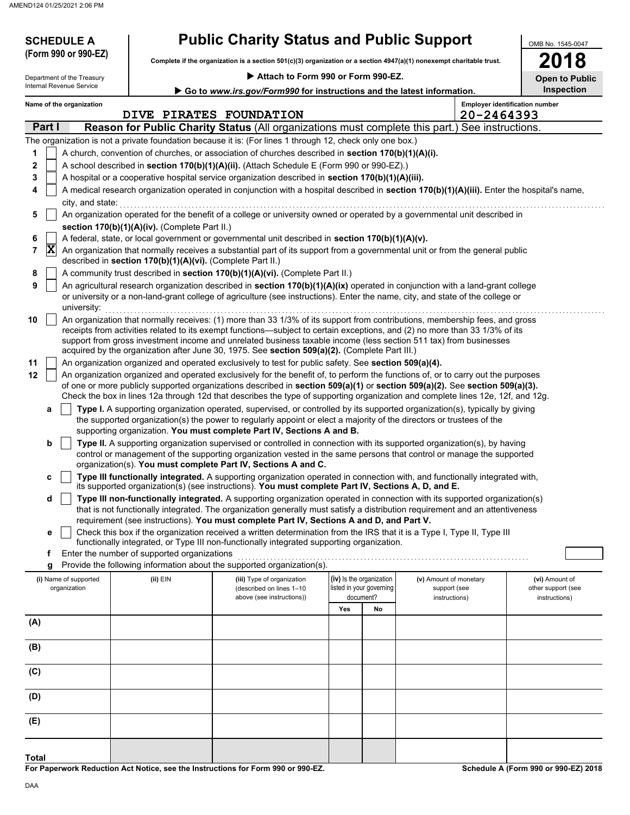| <b>SCHEDULE A</b>                     |                                                                                                                                                                                                | <b>Public Charity Status and Public Support</b>                                                                                                                                                                                                                                                                                                                                 |                                                      |    |                                        | OMB No. 1545-0047                     |  |
|---------------------------------------|------------------------------------------------------------------------------------------------------------------------------------------------------------------------------------------------|---------------------------------------------------------------------------------------------------------------------------------------------------------------------------------------------------------------------------------------------------------------------------------------------------------------------------------------------------------------------------------|------------------------------------------------------|----|----------------------------------------|---------------------------------------|--|
| (Form 990 or 990-EZ)                  |                                                                                                                                                                                                | Complete if the organization is a section 501(c)(3) organization or a section 4947(a)(1) nonexempt charitable trust.                                                                                                                                                                                                                                                            |                                                      |    |                                        | 2018                                  |  |
| Department of the Treasury            |                                                                                                                                                                                                | Attach to Form 990 or Form 990-EZ.                                                                                                                                                                                                                                                                                                                                              |                                                      |    |                                        |                                       |  |
| Internal Revenue Service              |                                                                                                                                                                                                | Go to www.irs.gov/Form990 for instructions and the latest information.                                                                                                                                                                                                                                                                                                          |                                                      |    |                                        | <b>Open to Public</b><br>Inspection   |  |
| Name of the organization              |                                                                                                                                                                                                |                                                                                                                                                                                                                                                                                                                                                                                 |                                                      |    |                                        | <b>Employer identification number</b> |  |
|                                       |                                                                                                                                                                                                | DIVE PIRATES FOUNDATION                                                                                                                                                                                                                                                                                                                                                         |                                                      |    | 20-2464393                             |                                       |  |
| Part I                                |                                                                                                                                                                                                | Reason for Public Charity Status (All organizations must complete this part.) See instructions.                                                                                                                                                                                                                                                                                 |                                                      |    |                                        |                                       |  |
|                                       |                                                                                                                                                                                                | The organization is not a private foundation because it is: (For lines 1 through 12, check only one box.)                                                                                                                                                                                                                                                                       |                                                      |    |                                        |                                       |  |
| 1                                     | A church, convention of churches, or association of churches described in section 170(b)(1)(A)(i).                                                                                             |                                                                                                                                                                                                                                                                                                                                                                                 |                                                      |    |                                        |                                       |  |
| 2<br>3                                | A school described in section 170(b)(1)(A)(ii). (Attach Schedule E (Form 990 or 990-EZ).)<br>A hospital or a cooperative hospital service organization described in section 170(b)(1)(A)(iii). |                                                                                                                                                                                                                                                                                                                                                                                 |                                                      |    |                                        |                                       |  |
| 4                                     |                                                                                                                                                                                                | A medical research organization operated in conjunction with a hospital described in section 170(b)(1)(A)(iii). Enter the hospital's name,                                                                                                                                                                                                                                      |                                                      |    |                                        |                                       |  |
| city, and state:                      |                                                                                                                                                                                                |                                                                                                                                                                                                                                                                                                                                                                                 |                                                      |    |                                        |                                       |  |
| 5                                     |                                                                                                                                                                                                | An organization operated for the benefit of a college or university owned or operated by a governmental unit described in                                                                                                                                                                                                                                                       |                                                      |    |                                        |                                       |  |
|                                       | section 170(b)(1)(A)(iv). (Complete Part II.)                                                                                                                                                  |                                                                                                                                                                                                                                                                                                                                                                                 |                                                      |    |                                        |                                       |  |
| 6<br>$\vert \mathbf{X} \vert$<br>7    |                                                                                                                                                                                                | A federal, state, or local government or governmental unit described in section 170(b)(1)(A)(v).<br>An organization that normally receives a substantial part of its support from a governmental unit or from the general public                                                                                                                                                |                                                      |    |                                        |                                       |  |
|                                       | described in section 170(b)(1)(A)(vi). (Complete Part II.)                                                                                                                                     |                                                                                                                                                                                                                                                                                                                                                                                 |                                                      |    |                                        |                                       |  |
| 8                                     |                                                                                                                                                                                                | A community trust described in section 170(b)(1)(A)(vi). (Complete Part II.)                                                                                                                                                                                                                                                                                                    |                                                      |    |                                        |                                       |  |
| 9<br>university:                      |                                                                                                                                                                                                | An agricultural research organization described in section 170(b)(1)(A)(ix) operated in conjunction with a land-grant college<br>or university or a non-land-grant college of agriculture (see instructions). Enter the name, city, and state of the college or                                                                                                                 |                                                      |    |                                        |                                       |  |
| 10                                    |                                                                                                                                                                                                | An organization that normally receives: (1) more than 33 1/3% of its support from contributions, membership fees, and gross<br>receipts from activities related to its exempt functions—subject to certain exceptions, and (2) no more than 33 1/3% of its<br>support from gross investment income and unrelated business taxable income (less section 511 tax) from businesses |                                                      |    |                                        |                                       |  |
|                                       |                                                                                                                                                                                                | acquired by the organization after June 30, 1975. See section 509(a)(2). (Complete Part III.)                                                                                                                                                                                                                                                                                   |                                                      |    |                                        |                                       |  |
| 11<br>12                              |                                                                                                                                                                                                | An organization organized and operated exclusively to test for public safety. See section 509(a)(4).<br>An organization organized and operated exclusively for the benefit of, to perform the functions of, or to carry out the purposes                                                                                                                                        |                                                      |    |                                        |                                       |  |
|                                       |                                                                                                                                                                                                | of one or more publicly supported organizations described in section 509(a)(1) or section 509(a)(2). See section 509(a)(3).<br>Check the box in lines 12a through 12d that describes the type of supporting organization and complete lines 12e, 12f, and 12g.                                                                                                                  |                                                      |    |                                        |                                       |  |
| a                                     |                                                                                                                                                                                                | Type I. A supporting organization operated, supervised, or controlled by its supported organization(s), typically by giving<br>the supported organization(s) the power to regularly appoint or elect a majority of the directors or trustees of the<br>supporting organization. You must complete Part IV, Sections A and B.                                                    |                                                      |    |                                        |                                       |  |
| b                                     |                                                                                                                                                                                                | Type II. A supporting organization supervised or controlled in connection with its supported organization(s), by having<br>control or management of the supporting organization vested in the same persons that control or manage the supported                                                                                                                                 |                                                      |    |                                        |                                       |  |
| c                                     |                                                                                                                                                                                                | organization(s). You must complete Part IV, Sections A and C.<br>Type III functionally integrated. A supporting organization operated in connection with, and functionally integrated with,                                                                                                                                                                                     |                                                      |    |                                        |                                       |  |
| d                                     |                                                                                                                                                                                                | its supported organization(s) (see instructions). You must complete Part IV, Sections A, D, and E.<br>Type III non-functionally integrated. A supporting organization operated in connection with its supported organization(s)                                                                                                                                                 |                                                      |    |                                        |                                       |  |
|                                       |                                                                                                                                                                                                | that is not functionally integrated. The organization generally must satisfy a distribution requirement and an attentiveness<br>requirement (see instructions). You must complete Part IV, Sections A and D, and Part V.                                                                                                                                                        |                                                      |    |                                        |                                       |  |
| е                                     |                                                                                                                                                                                                | Check this box if the organization received a written determination from the IRS that it is a Type I, Type II, Type III<br>functionally integrated, or Type III non-functionally integrated supporting organization.                                                                                                                                                            |                                                      |    |                                        |                                       |  |
| f                                     | Enter the number of supported organizations                                                                                                                                                    |                                                                                                                                                                                                                                                                                                                                                                                 |                                                      |    |                                        |                                       |  |
|                                       |                                                                                                                                                                                                | Provide the following information about the supported organization(s).                                                                                                                                                                                                                                                                                                          |                                                      |    |                                        |                                       |  |
| (i) Name of supported<br>organization | (ii) EIN                                                                                                                                                                                       | (iii) Type of organization<br>(described on lines 1-10                                                                                                                                                                                                                                                                                                                          | (iv) Is the organization<br>listed in your governing |    | (v) Amount of monetary<br>support (see | (vi) Amount of<br>other support (see  |  |
|                                       |                                                                                                                                                                                                | above (see instructions))                                                                                                                                                                                                                                                                                                                                                       | document?                                            |    | instructions)                          | instructions)                         |  |
|                                       |                                                                                                                                                                                                |                                                                                                                                                                                                                                                                                                                                                                                 | Yes                                                  | No |                                        |                                       |  |
| (A)                                   |                                                                                                                                                                                                |                                                                                                                                                                                                                                                                                                                                                                                 |                                                      |    |                                        |                                       |  |
| (B)                                   |                                                                                                                                                                                                |                                                                                                                                                                                                                                                                                                                                                                                 |                                                      |    |                                        |                                       |  |
| (C)                                   |                                                                                                                                                                                                |                                                                                                                                                                                                                                                                                                                                                                                 |                                                      |    |                                        |                                       |  |
| (D)                                   |                                                                                                                                                                                                |                                                                                                                                                                                                                                                                                                                                                                                 |                                                      |    |                                        |                                       |  |
| (E)                                   |                                                                                                                                                                                                |                                                                                                                                                                                                                                                                                                                                                                                 |                                                      |    |                                        |                                       |  |
| <b>Total</b>                          |                                                                                                                                                                                                |                                                                                                                                                                                                                                                                                                                                                                                 |                                                      |    |                                        |                                       |  |

**For Paperwork Reduction Act Notice, see the Instructions for Form 990 or 990-EZ.**

**Schedule A (Form 990 or 990-EZ) 2018**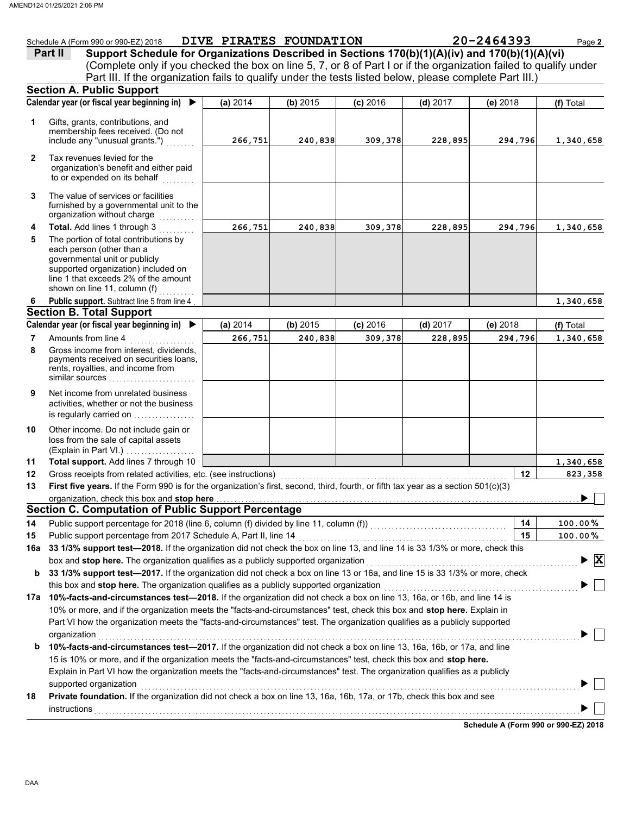|   | Schedule A (Form 990 or 990-EZ) 2018                                                                                                                                                                                                                                                                                                      | DIVE PIRATES FOUNDATION |            |            |            | 20-2464393 |           |
|---|-------------------------------------------------------------------------------------------------------------------------------------------------------------------------------------------------------------------------------------------------------------------------------------------------------------------------------------------|-------------------------|------------|------------|------------|------------|-----------|
|   | Support Schedule for Organizations Described in Sections 170(b)(1)(A)(iv) and 170(b)(1)(A)(vi)<br>Part II<br>(Complete only if you checked the box on line 5, 7, or 8 of Part I or if the organization failed to qualify under<br>Part III. If the organization fails to qualify under the tests listed below, please complete Part III.) |                         |            |            |            |            | Page 2    |
|   | <b>Section A. Public Support</b>                                                                                                                                                                                                                                                                                                          |                         |            |            |            |            |           |
|   | Calendar year (or fiscal year beginning in)                                                                                                                                                                                                                                                                                               | (a) 2014                | (b) $2015$ | $(c)$ 2016 | (d) $2017$ | $(e)$ 2018 | (f) Total |
| 2 | Gifts, grants, contributions, and<br>membership fees received. (Do not<br>include any "unusual grants.")<br>Tax revenues levied for the<br>organization's benefit and either paid<br>to or expended on its behalf                                                                                                                         | 266,751                 | 240,838    | 309,378    | 228,895    | 294,796    | 1,340,658 |
| 3 | The value of services or facilities<br>furnished by a governmental unit to the<br>organization without charge                                                                                                                                                                                                                             |                         |            |            |            |            |           |
| 4 | <b>Total.</b> Add lines 1 through 3                                                                                                                                                                                                                                                                                                       | 266,751                 | 240,838    | 309,378    | 228,895    | 294,796    | 1,340,658 |
| 5 | The portion of total contributions by<br>each person (other than a                                                                                                                                                                                                                                                                        |                         |            |            |            |            |           |

**Calendar year (or fiscal year beginning in) ▶ | (a)** 2014 | (b) 2015 | (c) 2016 | (d) 2017 | (e) 2018 | (f) Total

**(b)** 2015 **(c)** 2016 **(d)** 2017 **(e)** 2018

**266,751 240,838 309,378 228,895 294,796 1,340,658**

**(a)** 2014

| 11  | <b>Total support.</b> Add lines 7 through 10                                                                                                                                                                                   |         | 1,340,658                                     |  |  |  |  |  |  |
|-----|--------------------------------------------------------------------------------------------------------------------------------------------------------------------------------------------------------------------------------|---------|-----------------------------------------------|--|--|--|--|--|--|
| 12  | Gross receipts from related activities, etc. (see instructions)                                                                                                                                                                | $12 \,$ | 823,358                                       |  |  |  |  |  |  |
| 13  | First five years. If the Form 990 is for the organization's first, second, third, fourth, or fifth tax year as a section 501(c)(3)                                                                                             |         |                                               |  |  |  |  |  |  |
|     | organization, check this box and stop here with the content of the content of the state of the content of the content of the content of the content of the content of the content of the content of the content of the content |         |                                               |  |  |  |  |  |  |
|     | <b>Section C. Computation of Public Support Percentage</b>                                                                                                                                                                     |         |                                               |  |  |  |  |  |  |
| 14  | Public support percentage for 2018 (line 6, column (f) divided by line 11, column (f)) [[[[[[[[[[[[[[[[[[[[[[                                                                                                                  | 14      | $100.00\,\%$                                  |  |  |  |  |  |  |
| 15  | Public support percentage from 2017 Schedule A, Part II, line 14                                                                                                                                                               | 15      | $100.00\,\%$                                  |  |  |  |  |  |  |
| 16a | 33 1/3% support test-2018. If the organization did not check the box on line 13, and line 14 is 33 1/3% or more, check this                                                                                                    |         |                                               |  |  |  |  |  |  |
|     | box and stop here. The organization qualifies as a publicly supported organization                                                                                                                                             |         | $\blacktriangleright$ $\overline{\mathbf{X}}$ |  |  |  |  |  |  |
| b   | 33 1/3% support test—2017. If the organization did not check a box on line 13 or 16a, and line 15 is 33 1/3% or more, check                                                                                                    |         |                                               |  |  |  |  |  |  |
|     | this box and stop here. The organization qualifies as a publicly supported organization                                                                                                                                        |         |                                               |  |  |  |  |  |  |
| 17a | 10%-facts-and-circumstances test-2018. If the organization did not check a box on line 13, 16a, or 16b, and line 14 is                                                                                                         |         |                                               |  |  |  |  |  |  |
|     | 10% or more, and if the organization meets the "facts-and-circumstances" test, check this box and <b>stop here.</b> Explain in                                                                                                 |         |                                               |  |  |  |  |  |  |
|     | Part VI how the organization meets the "facts-and-circumstances" test. The organization qualifies as a publicly supported                                                                                                      |         |                                               |  |  |  |  |  |  |
|     | organization                                                                                                                                                                                                                   |         |                                               |  |  |  |  |  |  |
| b   | 10%-facts-and-circumstances test-2017. If the organization did not check a box on line 13, 16a, 16b, or 17a, and line                                                                                                          |         |                                               |  |  |  |  |  |  |
|     | 15 is 10% or more, and if the organization meets the "facts-and-circumstances" test, check this box and <b>stop here.</b>                                                                                                      |         |                                               |  |  |  |  |  |  |
|     | Explain in Part VI how the organization meets the "facts-and-circumstances" test. The organization qualifies as a publicly                                                                                                     |         |                                               |  |  |  |  |  |  |
|     | supported organization                                                                                                                                                                                                         |         |                                               |  |  |  |  |  |  |
| 18  | Private foundation. If the organization did not check a box on line 13, 16a, 16b, 17a, or 17b, check this box and see                                                                                                          |         |                                               |  |  |  |  |  |  |
|     | instructions                                                                                                                                                                                                                   |         | ▶ ∣                                           |  |  |  |  |  |  |
|     |                                                                                                                                                                                                                                |         | Schedule A (Form 990 or 990-EZ) 2018          |  |  |  |  |  |  |

DAA

(Explain in Part VI.) . . . . . . . . . . . . . . . . . .

loss from the sale of capital assets Other income. Do not include gain or is regularly carried on ................. activities, whether or not the business Net income from unrelated business

rents, royalties, and income from payments received on securities loans, Gross income from interest, dividends,

similar sources . . . . . . . . . . . . . . . . . . . . . . . .

Amounts from line 4

**Section B. Total Support**

**9**

**10**

**8**

**7**

**6**

governmental unit or publicly

line 1 that exceeds 2% of the amount supported organization) included on

Public support. Subtract line 5 from line 4

shown on line 11, column  $(f)$ 

**1,340,658**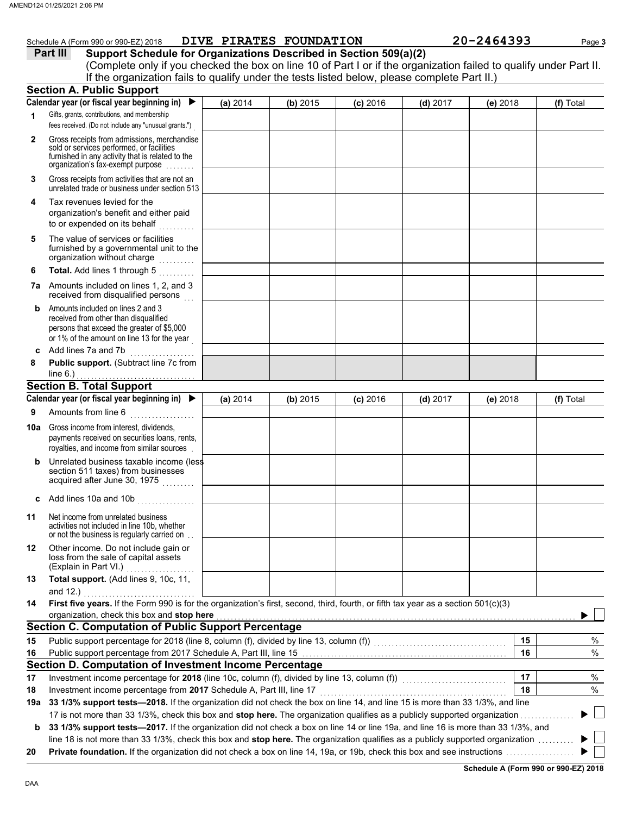|              | ND124 01/25/2021 2:06 PM                                                                                                                                                          |                         |          |            |            |            |           |
|--------------|-----------------------------------------------------------------------------------------------------------------------------------------------------------------------------------|-------------------------|----------|------------|------------|------------|-----------|
|              | Schedule A (Form 990 or 990-EZ) 2018                                                                                                                                              | DIVE PIRATES FOUNDATION |          |            |            | 20-2464393 | Page 3    |
|              | Support Schedule for Organizations Described in Section 509(a)(2)<br>Part III                                                                                                     |                         |          |            |            |            |           |
|              | (Complete only if you checked the box on line 10 of Part I or if the organization failed to qualify under Part II.                                                                |                         |          |            |            |            |           |
|              | If the organization fails to qualify under the tests listed below, please complete Part II.)                                                                                      |                         |          |            |            |            |           |
|              | <b>Section A. Public Support</b>                                                                                                                                                  |                         |          |            |            |            |           |
|              | Calendar year (or fiscal year beginning in)<br>▶                                                                                                                                  | (a) 2014                | (b) 2015 | $(c)$ 2016 | $(d)$ 2017 | (e) 2018   | (f) Total |
| 1            | Gifts, grants, contributions, and membership<br>fees received. (Do not include any "unusual grants.")                                                                             |                         |          |            |            |            |           |
| $\mathbf{2}$ | Gross receipts from admissions, merchandise<br>sold or services performed, or facilities<br>furnished in any activity that is related to the<br>organization's tax-exempt purpose |                         |          |            |            |            |           |
| 3            | Gross receipts from activities that are not an<br>unrelated trade or business under section 513                                                                                   |                         |          |            |            |            |           |
| 4            | Tax revenues levied for the<br>organization's benefit and either paid<br>to or expended on its behalf                                                                             |                         |          |            |            |            |           |
| 5            | The value of services or facilities<br>furnished by a governmental unit to the<br>organization without charge                                                                     |                         |          |            |            |            |           |
| 6            | Total. Add lines 1 through 5                                                                                                                                                      |                         |          |            |            |            |           |
|              | <b>7a</b> Amounts included on lines 1, 2, and 3<br>received from disqualified persons                                                                                             |                         |          |            |            |            |           |
| b            | Amounts included on lines 2 and 3<br>received from other than disqualified<br>persons that exceed the greater of \$5,000<br>or 1% of the amount on line 13 for the year           |                         |          |            |            |            |           |
| c            | Add lines 7a and 7b                                                                                                                                                               |                         |          |            |            |            |           |
| 8            | Public support. (Subtract line 7c from<br>line $6.$ )                                                                                                                             |                         |          |            |            |            |           |
|              | <b>Section B. Total Support</b>                                                                                                                                                   |                         |          |            |            |            |           |
|              | Calendar year (or fiscal year beginning in) ▶                                                                                                                                     | (a) 2014                | (b) 2015 | $(c)$ 2016 | $(d)$ 2017 | (e) 2018   | (f) Total |
| 9            | Amounts from line 6                                                                                                                                                               |                         |          |            |            |            |           |
|              | <b>10a</b> Gross income from interest, dividends.<br>payments received on securities loans, rents,<br>royalties, and income from similar sources                                  |                         |          |            |            |            |           |
| b            | Unrelated business taxable income (less<br>section 511 taxes) from businesses<br>acquired after June 30, 1975                                                                     |                         |          |            |            |            |           |
| c            | Add lines 10a and 10b                                                                                                                                                             |                         |          |            |            |            |           |
| 11           | Net income from unrelated business<br>activities not included in line 10b, whether<br>or not the business is regularly carried on.                                                |                         |          |            |            |            |           |
| 12           | Other income. Do not include gain or<br>loss from the sale of capital assets<br>(Explain in Part VI.)<br>.                                                                        |                         |          |            |            |            |           |
| 13           | Total support. (Add lines 9, 10c, 11,<br>and $12.$ )                                                                                                                              |                         |          |            |            |            |           |
| 14           | First five years. If the Form 990 is for the organization's first, second, third, fourth, or fifth tax year as a section 501(c)(3)<br>organization, check this box and stop here  |                         |          |            |            |            |           |
|              | <b>Section C. Computation of Public Support Percentage</b>                                                                                                                        |                         |          |            |            |            |           |
| 15           |                                                                                                                                                                                   |                         |          |            |            | 15         | %         |
| 16           |                                                                                                                                                                                   |                         |          |            |            | 16         | %         |
|              | Section D. Computation of Investment Income Percentage                                                                                                                            |                         |          |            |            |            |           |
| 17           | Investment income percentage for 2018 (line 10c, column (f), divided by line 13, column (f)) [[[[[[[[[[[[[[[[                                                                     |                         |          |            |            | 17         | %         |
| 18           |                                                                                                                                                                                   |                         |          |            |            | 18         | %         |

17 is not more than 33 1/3%, check this box and **stop here.** The organization qualifies as a publicly supported organization . . . . . . . . . . . . . . . **19a 33 1/3% support tests—2018.** If the organization did not check the box on line 14, and line 15 is more than 33 1/3%, and line

**b** 33 1/3% support tests-2017. If the organization did not check a box on line 14 or line 19a, and line 16 is more than 33 1/3%, and line 18 is not more than 33 1/3%, check this box and stop here. The organization qualifies as a publicly supported organization .........  $\ddot{\phantom{1}}$  $\blacktriangleright$ 

**20 Private foundation.** If the organization did not check a box on line 14, 19a, or 19b, check this box and see instructions . . . . . . . . . . . . . . . . . . .

**Schedule A (Form 990 or 990-EZ) 2018**

 $\Box$ 

 $\mathbb{R}$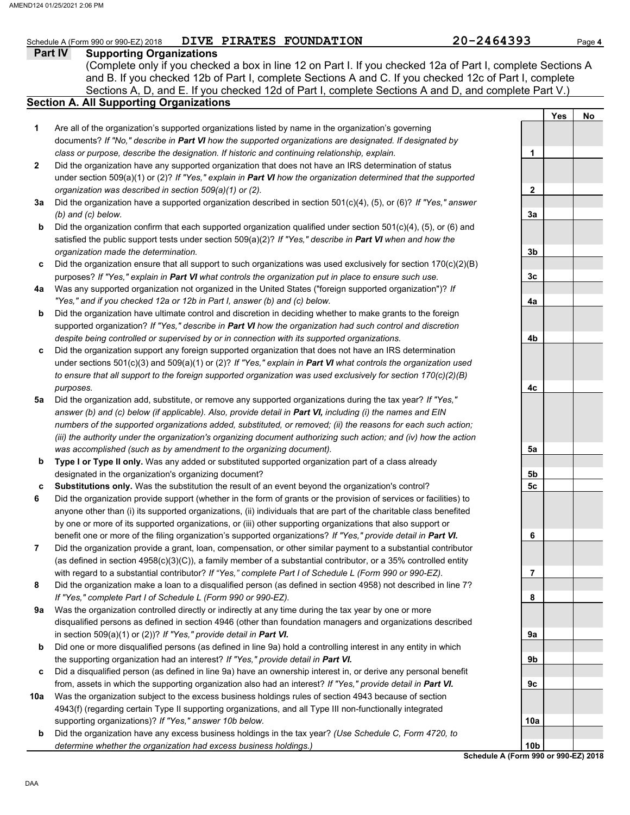#### **Part IV Supporting Organizations** Sections A, D, and E. If you checked 12d of Part I, complete Sections A and D, and complete Part V.) Schedule A (Form 990 or 990-EZ) 2018 **DIVE PIRATES FOUNDATION 20-2464393** Page 4 **Section A. All Supporting Organizations** (Complete only if you checked a box in line 12 on Part I. If you checked 12a of Part I, complete Sections A and B. If you checked 12b of Part I, complete Sections A and C. If you checked 12c of Part I, complete Are all of the organization's supported organizations listed by name in the organization's governing documents? *If "No," describe in Part VI how the supported organizations are designated. If designated by class or purpose, describe the designation. If historic and continuing relationship, explain.* Did the organization have any supported organization that does not have an IRS determination of status under section 509(a)(1) or (2)? *If "Yes," explain in Part VI how the organization determined that the supported organization was described in section 509(a)(1) or (2).* **1 2 3a** Did the organization have a supported organization described in section 501(c)(4), (5), or (6)? *If "Yes," answer* **b c** Did the organization ensure that all support to such organizations was used exclusively for section 170(c)(2)(B) **4a** Was any supported organization not organized in the United States ("foreign supported organization")? *If* **b c** Did the organization support any foreign supported organization that does not have an IRS determination **5a** Did the organization add, substitute, or remove any supported organizations during the tax year? *If "Yes,"* **b c 6 7 8 9a b c 10a** *(b) and (c) below.* Did the organization confirm that each supported organization qualified under section 501(c)(4), (5), or (6) and satisfied the public support tests under section 509(a)(2)? *If "Yes," describe in Part VI when and how the organization made the determination.* purposes? *If "Yes," explain in Part VI what controls the organization put in place to ensure such use. "Yes," and if you checked 12a or 12b in Part I, answer (b) and (c) below.* Did the organization have ultimate control and discretion in deciding whether to make grants to the foreign supported organization? *If "Yes," describe in Part VI how the organization had such control and discretion despite being controlled or supervised by or in connection with its supported organizations.* under sections 501(c)(3) and 509(a)(1) or (2)? *If "Yes," explain in Part VI what controls the organization used to ensure that all support to the foreign supported organization was used exclusively for section 170(c)(2)(B) purposes. answer (b) and (c) below (if applicable). Also, provide detail in Part VI, including (i) the names and EIN numbers of the supported organizations added, substituted, or removed; (ii) the reasons for each such action; (iii) the authority under the organization's organizing document authorizing such action; and (iv) how the action was accomplished (such as by amendment to the organizing document).* **Type I or Type II only.** Was any added or substituted supported organization part of a class already designated in the organization's organizing document? **Substitutions only.** Was the substitution the result of an event beyond the organization's control? Did the organization provide support (whether in the form of grants or the provision of services or facilities) to anyone other than (i) its supported organizations, (ii) individuals that are part of the charitable class benefited by one or more of its supported organizations, or (iii) other supporting organizations that also support or benefit one or more of the filing organization's supported organizations? *If "Yes," provide detail in Part VI.* Did the organization provide a grant, loan, compensation, or other similar payment to a substantial contributor (as defined in section 4958(c)(3)(C)), a family member of a substantial contributor, or a 35% controlled entity with regard to a substantial contributor? *If "Yes," complete Part I of Schedule L (Form 990 or 990-EZ).* Did the organization make a loan to a disqualified person (as defined in section 4958) not described in line 7? *If "Yes," complete Part I of Schedule L (Form 990 or 990-EZ).* Was the organization controlled directly or indirectly at any time during the tax year by one or more disqualified persons as defined in section 4946 (other than foundation managers and organizations described in section 509(a)(1) or (2))? *If "Yes," provide detail in Part VI.* Did one or more disqualified persons (as defined in line 9a) hold a controlling interest in any entity in which the supporting organization had an interest? *If "Yes," provide detail in Part VI.* Did a disqualified person (as defined in line 9a) have an ownership interest in, or derive any personal benefit from, assets in which the supporting organization also had an interest? *If "Yes," provide detail in Part VI.* Was the organization subject to the excess business holdings rules of section 4943 because of section 4943(f) (regarding certain Type II supporting organizations, and all Type III non-functionally integrated supporting organizations)? *If "Yes," answer 10b below.* **Yes No 1 2 3a 3b 3c 4a 4b 4c 5a 5b 5c 6 7 8 9a 9b 9c 10a** AMEND124 01/25/2021 2:06 PM

**b** Did the organization have any excess business holdings in the tax year? *(Use Schedule C, Form 4720, to determine whether the organization had excess business holdings.)*

**Schedule A (Form 990 or 990-EZ) 2018 10b**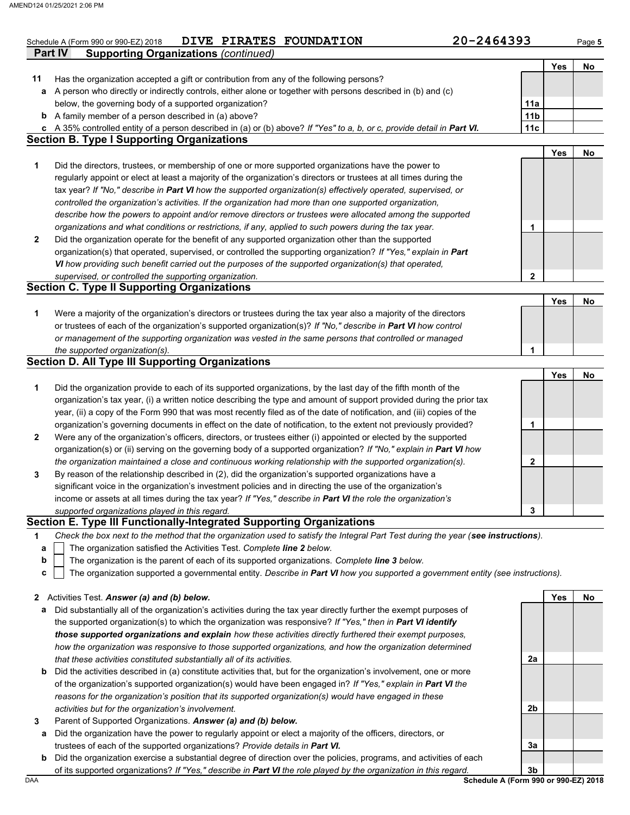|              | DIVE PIRATES FOUNDATION<br>Schedule A (Form 990 or 990-EZ) 2018                                                                   | 20-2464393      |            | Page 5 |
|--------------|-----------------------------------------------------------------------------------------------------------------------------------|-----------------|------------|--------|
|              | <b>Part IV</b><br><b>Supporting Organizations (continued)</b>                                                                     |                 | Yes        | No     |
| 11           | Has the organization accepted a gift or contribution from any of the following persons?                                           |                 |            |        |
| а            | A person who directly or indirectly controls, either alone or together with persons described in (b) and (c)                      |                 |            |        |
|              | below, the governing body of a supported organization?                                                                            | 11a             |            |        |
|              | <b>b</b> A family member of a person described in (a) above?                                                                      | 11 <sub>b</sub> |            |        |
|              | c A 35% controlled entity of a person described in (a) or (b) above? If "Yes" to a, b, or c, provide detail in Part VI.           | 11c             |            |        |
|              | <b>Section B. Type I Supporting Organizations</b>                                                                                 |                 |            |        |
|              |                                                                                                                                   |                 | <b>Yes</b> | No     |
| 1            | Did the directors, trustees, or membership of one or more supported organizations have the power to                               |                 |            |        |
|              | regularly appoint or elect at least a majority of the organization's directors or trustees at all times during the                |                 |            |        |
|              | tax year? If "No," describe in Part VI how the supported organization(s) effectively operated, supervised, or                     |                 |            |        |
|              | controlled the organization's activities. If the organization had more than one supported organization,                           |                 |            |        |
|              | describe how the powers to appoint and/or remove directors or trustees were allocated among the supported                         |                 |            |        |
|              | organizations and what conditions or restrictions, if any, applied to such powers during the tax year.                            | 1               |            |        |
| $\mathbf{2}$ | Did the organization operate for the benefit of any supported organization other than the supported                               |                 |            |        |
|              | organization(s) that operated, supervised, or controlled the supporting organization? If "Yes," explain in Part                   |                 |            |        |
|              | VI how providing such benefit carried out the purposes of the supported organization(s) that operated,                            |                 |            |        |
|              | supervised, or controlled the supporting organization.                                                                            | $\mathbf{2}$    |            |        |
|              | <b>Section C. Type II Supporting Organizations</b>                                                                                |                 |            |        |
|              |                                                                                                                                   |                 | <b>Yes</b> | No     |
| 1            | Were a majority of the organization's directors or trustees during the tax year also a majority of the directors                  |                 |            |        |
|              | or trustees of each of the organization's supported organization(s)? If "No," describe in Part VI how control                     |                 |            |        |
|              | or management of the supporting organization was vested in the same persons that controlled or managed                            |                 |            |        |
|              | the supported organization(s).                                                                                                    | 1               |            |        |
|              | <b>Section D. All Type III Supporting Organizations</b>                                                                           |                 |            |        |
|              |                                                                                                                                   |                 | Yes        | No     |
| 1            | Did the organization provide to each of its supported organizations, by the last day of the fifth month of the                    |                 |            |        |
|              | organization's tax year, (i) a written notice describing the type and amount of support provided during the prior tax             |                 |            |        |
|              | year, (ii) a copy of the Form 990 that was most recently filed as of the date of notification, and (iii) copies of the            |                 |            |        |
|              | organization's governing documents in effect on the date of notification, to the extent not previously provided?                  | 1               |            |        |
| $\mathbf{2}$ | Were any of the organization's officers, directors, or trustees either (i) appointed or elected by the supported                  |                 |            |        |
|              | organization(s) or (ii) serving on the governing body of a supported organization? If "No," explain in Part VI how                |                 |            |        |
|              | the organization maintained a close and continuous working relationship with the supported organization(s).                       | 2               |            |        |
| 3            | By reason of the relationship described in (2), did the organization's supported organizations have a                             |                 |            |        |
|              | significant voice in the organization's investment policies and in directing the use of the organization's                        |                 |            |        |
|              | income or assets at all times during the tax year? If "Yes," describe in Part VI the role the organization's                      |                 |            |        |
|              | supported organizations played in this regard.                                                                                    | 3               |            |        |
|              | Section E. Type III Functionally-Integrated Supporting Organizations                                                              |                 |            |        |
| 1            | Check the box next to the method that the organization used to satisfy the Integral Part Test during the year (see instructions). |                 |            |        |
| а            | The organization satisfied the Activities Test. Complete line 2 below.                                                            |                 |            |        |
| b            | The organization is the parent of each of its supported organizations. Complete line 3 below.                                     |                 |            |        |
| c            | The organization supported a governmental entity. Describe in Part VI how you supported a government entity (see instructions).   |                 |            |        |
|              | 2 Activities Test. Answer (a) and (b) below.                                                                                      |                 | <b>Yes</b> | No     |
| а            | Did substantially all of the organization's activities during the tax year directly further the exempt purposes of                |                 |            |        |
|              | the supported organization(s) to which the organization was responsive? If "Yes," then in Part VI identify                        |                 |            |        |
|              | those supported organizations and explain how these activities directly furthered their exempt purposes,                          |                 |            |        |
|              | how the organization was responsive to those supported organizations, and how the organization determined                         |                 |            |        |
|              | that these activities constituted substantially all of its activities.                                                            | 2a              |            |        |

- **b** Did the activities described in (a) constitute activities that, but for the organization's involvement, one or more of the organization's supported organization(s) would have been engaged in? *If "Yes," explain in Part VI the reasons for the organization's position that its supported organization(s) would have engaged in these activities but for the organization's involvement.*
- **3** Parent of Supported Organizations. *Answer (a) and (b) below.*
- **a** Did the organization have the power to regularly appoint or elect a majority of the officers, directors, or trustees of each of the supported organizations? *Provide details in Part VI.*
- **b** Did the organization exercise a substantial degree of direction over the policies, programs, and activities of each of its supported organizations? *If "Yes," describe in Part VI the role played by the organization in this regard.*

DAA **Schedule A (Form 990 or 990-EZ) 2018 3b**

**3a**

**2b**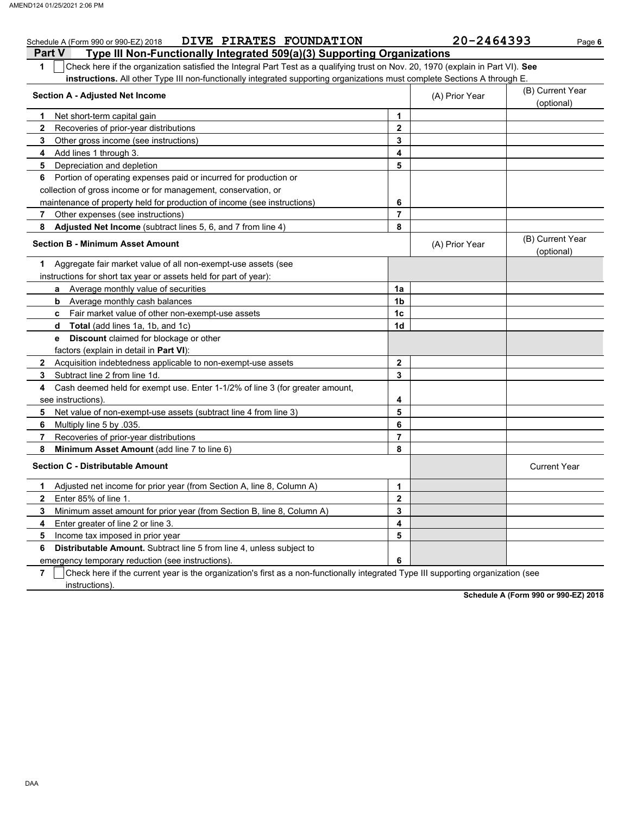| <b>DIVE PIRATES FOUNDATION</b><br>Schedule A (Form 990 or 990-EZ) 2018                                                                |                         | 20-2464393     | Page 6                         |
|---------------------------------------------------------------------------------------------------------------------------------------|-------------------------|----------------|--------------------------------|
| Type III Non-Functionally Integrated 509(a)(3) Supporting Organizations<br><b>Part V</b>                                              |                         |                |                                |
| Check here if the organization satisfied the Integral Part Test as a qualifying trust on Nov. 20, 1970 (explain in Part VI). See<br>1 |                         |                |                                |
| instructions. All other Type III non-functionally integrated supporting organizations must complete Sections A through E.             |                         |                |                                |
| <b>Section A - Adjusted Net Income</b>                                                                                                |                         | (A) Prior Year | (B) Current Year               |
|                                                                                                                                       |                         |                | (optional)                     |
| Net short-term capital gain<br>1.                                                                                                     | 1                       |                |                                |
| Recoveries of prior-year distributions<br>2                                                                                           | $\mathbf{2}$            |                |                                |
| 3<br>Other gross income (see instructions)                                                                                            | 3                       |                |                                |
| 4<br>Add lines 1 through 3.                                                                                                           | 4                       |                |                                |
| Depreciation and depletion<br>5                                                                                                       | 5                       |                |                                |
| Portion of operating expenses paid or incurred for production or<br>6                                                                 |                         |                |                                |
| collection of gross income or for management, conservation, or                                                                        |                         |                |                                |
| maintenance of property held for production of income (see instructions)                                                              | 6                       |                |                                |
| 7<br>Other expenses (see instructions)                                                                                                | $\overline{7}$          |                |                                |
| 8<br>Adjusted Net Income (subtract lines 5, 6, and 7 from line 4)                                                                     | 8                       |                |                                |
| <b>Section B - Minimum Asset Amount</b>                                                                                               |                         | (A) Prior Year | (B) Current Year<br>(optional) |
| Aggregate fair market value of all non-exempt-use assets (see<br>1.                                                                   |                         |                |                                |
| instructions for short tax year or assets held for part of year):                                                                     |                         |                |                                |
| a Average monthly value of securities                                                                                                 | 1a                      |                |                                |
| Average monthly cash balances<br>b                                                                                                    | 1 <sub>b</sub>          |                |                                |
| c Fair market value of other non-exempt-use assets                                                                                    | 1c                      |                |                                |
| <b>d</b> Total (add lines 1a, 1b, and 1c)                                                                                             | 1d                      |                |                                |
| <b>e</b> Discount claimed for blockage or other                                                                                       |                         |                |                                |
| factors (explain in detail in Part VI):                                                                                               |                         |                |                                |
| 2 Acquisition indebtedness applicable to non-exempt-use assets                                                                        | $\mathbf{2}$            |                |                                |
| 3<br>Subtract line 2 from line 1d.                                                                                                    | $\mathbf{3}$            |                |                                |
| Cash deemed held for exempt use. Enter 1-1/2% of line 3 (for greater amount,<br>4                                                     |                         |                |                                |
| see instructions).                                                                                                                    | 4                       |                |                                |
| 5.<br>Net value of non-exempt-use assets (subtract line 4 from line 3)                                                                | 5                       |                |                                |
| 6<br>Multiply line 5 by 035.                                                                                                          | 6                       |                |                                |
| 7<br>Recoveries of prior-year distributions                                                                                           | $\overline{7}$          |                |                                |
| 8<br>Minimum Asset Amount (add line 7 to line 6)                                                                                      | 8                       |                |                                |
| <b>Section C - Distributable Amount</b>                                                                                               |                         |                | <b>Current Year</b>            |
| Adjusted net income for prior year (from Section A, line 8, Column A)<br>1                                                            | $\mathbf{1}$            |                |                                |
| $\mathbf{2}$<br>Enter 85% of line 1.                                                                                                  | $\mathbf{2}$            |                |                                |
| 3<br>Minimum asset amount for prior year (from Section B, line 8, Column A)                                                           | 3                       |                |                                |
| 4<br>Enter greater of line 2 or line 3.                                                                                               | $\overline{\mathbf{4}}$ |                |                                |
| 5<br>Income tax imposed in prior year                                                                                                 | 5                       |                |                                |
| 6<br><b>Distributable Amount.</b> Subtract line 5 from line 4, unless subject to                                                      |                         |                |                                |
| emergency temporary reduction (see instructions).                                                                                     | 6                       |                |                                |

**7** Check here if the current year is the organization's first as a non-functionally integrated Type III supporting organization (see instructions).

**Schedule A (Form 990 or 990-EZ) 2018**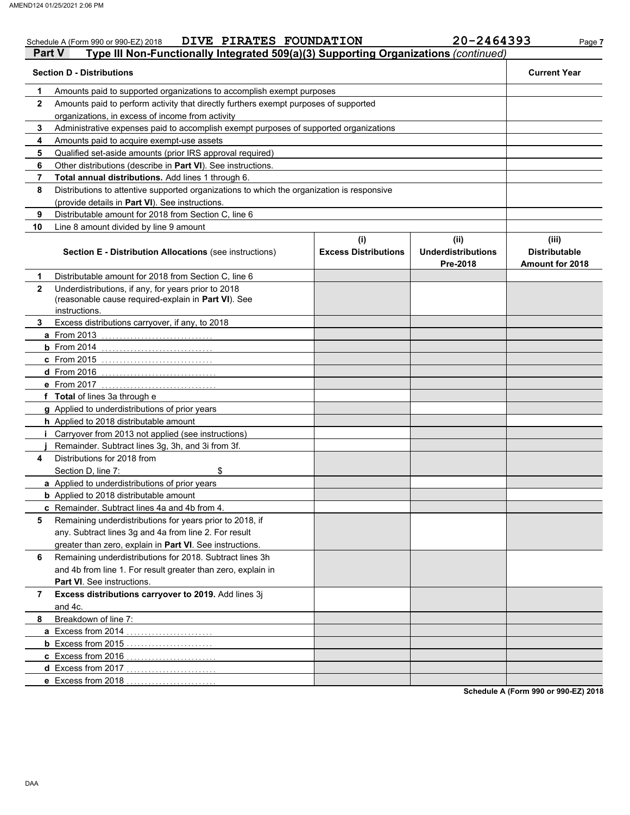|                | DIVE PIRATES FOUNDATION<br>Schedule A (Form 990 or 990-EZ) 2018<br>Type III Non-Functionally Integrated 509(a)(3) Supporting Organizations (continued)<br>Part V |                                    | 20-2464393                                    | Page 7                                           |
|----------------|------------------------------------------------------------------------------------------------------------------------------------------------------------------|------------------------------------|-----------------------------------------------|--------------------------------------------------|
|                | <b>Section D - Distributions</b>                                                                                                                                 |                                    |                                               | <b>Current Year</b>                              |
| 1              | Amounts paid to supported organizations to accomplish exempt purposes                                                                                            |                                    |                                               |                                                  |
| $\mathbf{2}$   | Amounts paid to perform activity that directly furthers exempt purposes of supported                                                                             |                                    |                                               |                                                  |
|                | organizations, in excess of income from activity                                                                                                                 |                                    |                                               |                                                  |
| 3              | Administrative expenses paid to accomplish exempt purposes of supported organizations                                                                            |                                    |                                               |                                                  |
| 4              | Amounts paid to acquire exempt-use assets                                                                                                                        |                                    |                                               |                                                  |
| 5              | Qualified set-aside amounts (prior IRS approval required)                                                                                                        |                                    |                                               |                                                  |
| 6              | Other distributions (describe in Part VI). See instructions.                                                                                                     |                                    |                                               |                                                  |
| $\overline{7}$ | Total annual distributions. Add lines 1 through 6.                                                                                                               |                                    |                                               |                                                  |
| 8              | Distributions to attentive supported organizations to which the organization is responsive                                                                       |                                    |                                               |                                                  |
|                | (provide details in Part VI). See instructions.                                                                                                                  |                                    |                                               |                                                  |
| 9              | Distributable amount for 2018 from Section C, line 6                                                                                                             |                                    |                                               |                                                  |
| 10             | Line 8 amount divided by line 9 amount                                                                                                                           |                                    |                                               |                                                  |
|                | Section E - Distribution Allocations (see instructions)                                                                                                          | (i)<br><b>Excess Distributions</b> | (ii)<br><b>Underdistributions</b><br>Pre-2018 | (iii)<br><b>Distributable</b><br>Amount for 2018 |
| 1              | Distributable amount for 2018 from Section C, line 6                                                                                                             |                                    |                                               |                                                  |
| $\mathbf{2}$   | Underdistributions, if any, for years prior to 2018                                                                                                              |                                    |                                               |                                                  |
|                | (reasonable cause required-explain in Part VI). See                                                                                                              |                                    |                                               |                                                  |
|                | instructions.                                                                                                                                                    |                                    |                                               |                                                  |
| 3              | Excess distributions carryover, if any, to 2018                                                                                                                  |                                    |                                               |                                                  |
|                | <b>a</b> From 2013                                                                                                                                               |                                    |                                               |                                                  |
|                | $b$ From 2014                                                                                                                                                    |                                    |                                               |                                                  |
|                | c From 2015                                                                                                                                                      |                                    |                                               |                                                  |
|                | <b>d</b> From 2016                                                                                                                                               |                                    |                                               |                                                  |
|                | e From 2017                                                                                                                                                      |                                    |                                               |                                                  |
|                | f Total of lines 3a through e                                                                                                                                    |                                    |                                               |                                                  |
|                | g Applied to underdistributions of prior years                                                                                                                   |                                    |                                               |                                                  |
|                | h Applied to 2018 distributable amount                                                                                                                           |                                    |                                               |                                                  |
|                | Carryover from 2013 not applied (see instructions)                                                                                                               |                                    |                                               |                                                  |
|                | Remainder. Subtract lines 3g, 3h, and 3i from 3f.                                                                                                                |                                    |                                               |                                                  |
| 4              | Distributions for 2018 from                                                                                                                                      |                                    |                                               |                                                  |
|                | \$<br>Section D, line 7:                                                                                                                                         |                                    |                                               |                                                  |
|                | a Applied to underdistributions of prior years                                                                                                                   |                                    |                                               |                                                  |
|                | <b>b</b> Applied to 2018 distributable amount                                                                                                                    |                                    |                                               |                                                  |
|                | c Remainder. Subtract lines 4a and 4b from 4.                                                                                                                    |                                    |                                               |                                                  |
| 5              | Remaining underdistributions for years prior to 2018, if                                                                                                         |                                    |                                               |                                                  |
|                | any. Subtract lines 3g and 4a from line 2. For result                                                                                                            |                                    |                                               |                                                  |
|                | greater than zero, explain in Part VI. See instructions.                                                                                                         |                                    |                                               |                                                  |
| 6              | Remaining underdistributions for 2018. Subtract lines 3h                                                                                                         |                                    |                                               |                                                  |
|                | and 4b from line 1. For result greater than zero, explain in                                                                                                     |                                    |                                               |                                                  |
|                | Part VI. See instructions.                                                                                                                                       |                                    |                                               |                                                  |
| 7              | Excess distributions carryover to 2019. Add lines 3j<br>and 4c.                                                                                                  |                                    |                                               |                                                  |
| 8              | Breakdown of line 7:                                                                                                                                             |                                    |                                               |                                                  |
|                | a Excess from 2014                                                                                                                                               |                                    |                                               |                                                  |
|                | <b>b</b> Excess from 2015                                                                                                                                        |                                    |                                               |                                                  |
|                | c Excess from 2016                                                                                                                                               |                                    |                                               |                                                  |
|                | d Excess from 2017                                                                                                                                               |                                    |                                               |                                                  |
|                | e Excess from 2018                                                                                                                                               |                                    |                                               |                                                  |
|                |                                                                                                                                                                  |                                    |                                               |                                                  |

**Schedule A (Form 990 or 990-EZ) 2018**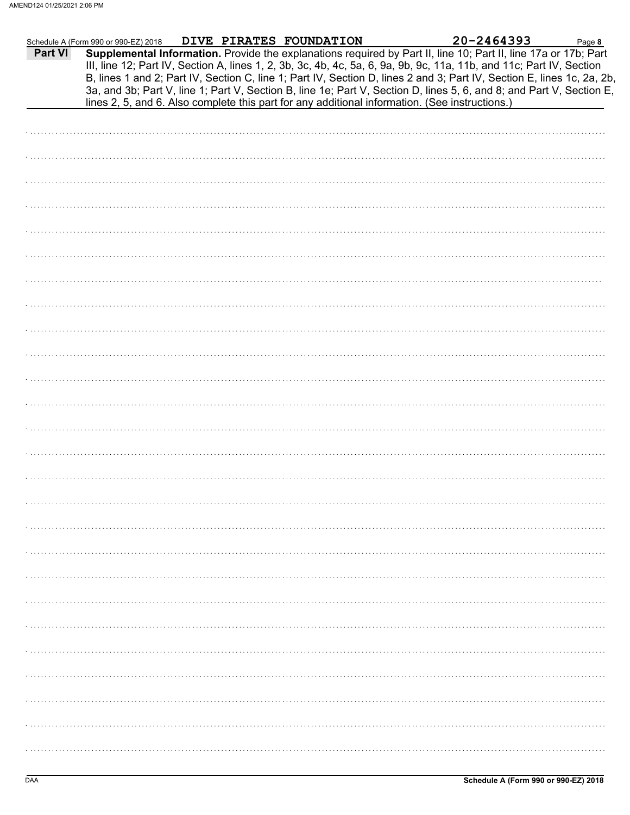|         | Schedule A (Form 990 or 990-EZ) 2018 DIVE PIRATES FOUNDATION | 20-2464393                                                                                                                                                                                                                                                                                                                                                                                                                                                                                | Page 8 |
|---------|--------------------------------------------------------------|-------------------------------------------------------------------------------------------------------------------------------------------------------------------------------------------------------------------------------------------------------------------------------------------------------------------------------------------------------------------------------------------------------------------------------------------------------------------------------------------|--------|
| Part VI |                                                              | Supplemental Information. Provide the explanations required by Part II, line 10; Part II, line 17a or 17b; Part<br>III, line 12; Part IV, Section A, lines 1, 2, 3b, 3c, 4b, 4c, 5a, 6, 9a, 9b, 9c, 11a, 11b, and 11c; Part IV, Section<br>B, lines 1 and 2; Part IV, Section C, line 1; Part IV, Section D, lines 2 and 3; Part IV, Section E, lines 1c, 2a, 2b,<br>3a, and 3b; Part V, line 1; Part V, Section B, line 1e; Part V, Section D, lines 5, 6, and 8; and Part V, Section E, |        |
|         |                                                              | lines 2, 5, and 6. Also complete this part for any additional information. (See instructions.)                                                                                                                                                                                                                                                                                                                                                                                            |        |
|         |                                                              |                                                                                                                                                                                                                                                                                                                                                                                                                                                                                           |        |
|         |                                                              |                                                                                                                                                                                                                                                                                                                                                                                                                                                                                           |        |
|         |                                                              |                                                                                                                                                                                                                                                                                                                                                                                                                                                                                           |        |
|         |                                                              |                                                                                                                                                                                                                                                                                                                                                                                                                                                                                           |        |
|         |                                                              |                                                                                                                                                                                                                                                                                                                                                                                                                                                                                           |        |
|         |                                                              |                                                                                                                                                                                                                                                                                                                                                                                                                                                                                           |        |
|         |                                                              |                                                                                                                                                                                                                                                                                                                                                                                                                                                                                           |        |
|         |                                                              |                                                                                                                                                                                                                                                                                                                                                                                                                                                                                           |        |
|         |                                                              |                                                                                                                                                                                                                                                                                                                                                                                                                                                                                           |        |
|         |                                                              |                                                                                                                                                                                                                                                                                                                                                                                                                                                                                           |        |
|         |                                                              |                                                                                                                                                                                                                                                                                                                                                                                                                                                                                           |        |
|         |                                                              |                                                                                                                                                                                                                                                                                                                                                                                                                                                                                           |        |
|         |                                                              |                                                                                                                                                                                                                                                                                                                                                                                                                                                                                           |        |
|         |                                                              |                                                                                                                                                                                                                                                                                                                                                                                                                                                                                           |        |
|         |                                                              |                                                                                                                                                                                                                                                                                                                                                                                                                                                                                           |        |
|         |                                                              |                                                                                                                                                                                                                                                                                                                                                                                                                                                                                           |        |
|         |                                                              |                                                                                                                                                                                                                                                                                                                                                                                                                                                                                           |        |
|         |                                                              |                                                                                                                                                                                                                                                                                                                                                                                                                                                                                           |        |
|         |                                                              |                                                                                                                                                                                                                                                                                                                                                                                                                                                                                           |        |
|         |                                                              |                                                                                                                                                                                                                                                                                                                                                                                                                                                                                           |        |
|         |                                                              |                                                                                                                                                                                                                                                                                                                                                                                                                                                                                           |        |
|         |                                                              |                                                                                                                                                                                                                                                                                                                                                                                                                                                                                           |        |
|         |                                                              |                                                                                                                                                                                                                                                                                                                                                                                                                                                                                           |        |
|         |                                                              |                                                                                                                                                                                                                                                                                                                                                                                                                                                                                           |        |
|         |                                                              |                                                                                                                                                                                                                                                                                                                                                                                                                                                                                           |        |
|         |                                                              |                                                                                                                                                                                                                                                                                                                                                                                                                                                                                           |        |
|         |                                                              |                                                                                                                                                                                                                                                                                                                                                                                                                                                                                           |        |
|         |                                                              |                                                                                                                                                                                                                                                                                                                                                                                                                                                                                           |        |
|         |                                                              |                                                                                                                                                                                                                                                                                                                                                                                                                                                                                           |        |
|         |                                                              |                                                                                                                                                                                                                                                                                                                                                                                                                                                                                           |        |
|         |                                                              |                                                                                                                                                                                                                                                                                                                                                                                                                                                                                           |        |
|         |                                                              |                                                                                                                                                                                                                                                                                                                                                                                                                                                                                           |        |
|         |                                                              |                                                                                                                                                                                                                                                                                                                                                                                                                                                                                           |        |
|         |                                                              |                                                                                                                                                                                                                                                                                                                                                                                                                                                                                           |        |
|         |                                                              |                                                                                                                                                                                                                                                                                                                                                                                                                                                                                           |        |
|         |                                                              |                                                                                                                                                                                                                                                                                                                                                                                                                                                                                           |        |
|         |                                                              |                                                                                                                                                                                                                                                                                                                                                                                                                                                                                           |        |
|         |                                                              |                                                                                                                                                                                                                                                                                                                                                                                                                                                                                           |        |
|         |                                                              |                                                                                                                                                                                                                                                                                                                                                                                                                                                                                           |        |
|         |                                                              |                                                                                                                                                                                                                                                                                                                                                                                                                                                                                           |        |
|         |                                                              |                                                                                                                                                                                                                                                                                                                                                                                                                                                                                           |        |
|         |                                                              |                                                                                                                                                                                                                                                                                                                                                                                                                                                                                           |        |
|         |                                                              |                                                                                                                                                                                                                                                                                                                                                                                                                                                                                           |        |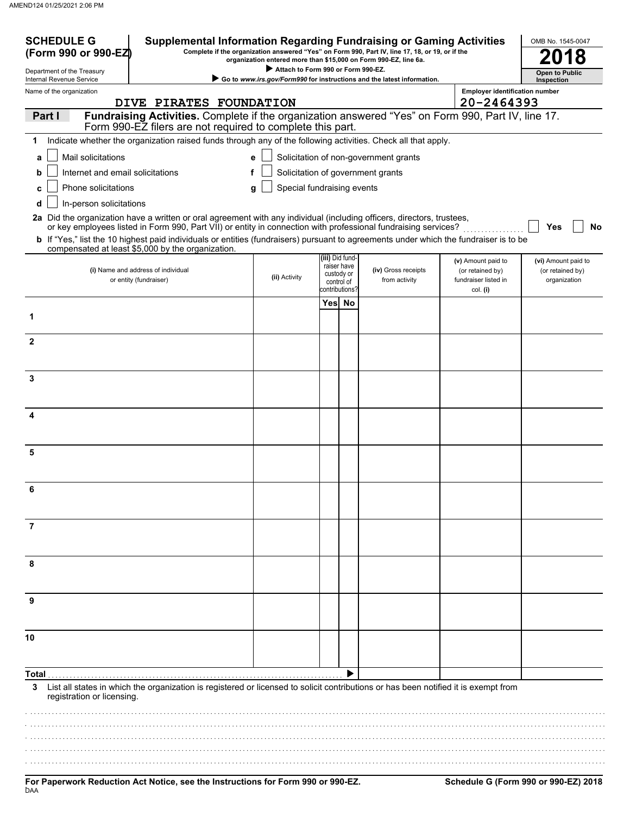| <b>SCHEDULE G</b>                                      |                                  | <b>Supplemental Information Regarding Fundraising or Gaming Activities</b>                                                                                                                                                               |                                                                                                              | OMB No. 1545-0047                          |                                                                                                                                                                     |                                       |                                        |                                         |
|--------------------------------------------------------|----------------------------------|------------------------------------------------------------------------------------------------------------------------------------------------------------------------------------------------------------------------------------------|--------------------------------------------------------------------------------------------------------------|--------------------------------------------|---------------------------------------------------------------------------------------------------------------------------------------------------------------------|---------------------------------------|----------------------------------------|-----------------------------------------|
| (Form 990 or 990-EZ)                                   |                                  |                                                                                                                                                                                                                                          |                                                                                                              |                                            | Complete if the organization answered "Yes" on Form 990, Part IV, line 17, 18, or 19, or if the<br>organization entered more than \$15,000 on Form 990-EZ, line 6a. |                                       |                                        |                                         |
| Department of the Treasury<br>Internal Revenue Service |                                  |                                                                                                                                                                                                                                          | Attach to Form 990 or Form 990-EZ.<br>Go to www.irs.gov/Form990 for instructions and the latest information. |                                            |                                                                                                                                                                     |                                       | <b>Open to Public</b><br>Inspection    |                                         |
| Name of the organization                               |                                  |                                                                                                                                                                                                                                          |                                                                                                              |                                            |                                                                                                                                                                     |                                       |                                        | <b>Employer identification number</b>   |
|                                                        |                                  | DIVE PIRATES FOUNDATION                                                                                                                                                                                                                  |                                                                                                              |                                            |                                                                                                                                                                     |                                       | 20-2464393                             |                                         |
| Part I                                                 |                                  | Fundraising Activities. Complete if the organization answered "Yes" on Form 990, Part IV, line 17.<br>Form 990-EZ filers are not required to complete this part.                                                                         |                                                                                                              |                                            |                                                                                                                                                                     |                                       |                                        |                                         |
| 1                                                      |                                  | Indicate whether the organization raised funds through any of the following activities. Check all that apply.                                                                                                                            |                                                                                                              |                                            |                                                                                                                                                                     |                                       |                                        |                                         |
| a                                                      | Mail solicitations               |                                                                                                                                                                                                                                          | e                                                                                                            |                                            |                                                                                                                                                                     | Solicitation of non-government grants |                                        |                                         |
| b                                                      | Internet and email solicitations |                                                                                                                                                                                                                                          |                                                                                                              |                                            |                                                                                                                                                                     | Solicitation of government grants     |                                        |                                         |
| c                                                      | Phone solicitations              |                                                                                                                                                                                                                                          | Special fundraising events<br>g                                                                              |                                            |                                                                                                                                                                     |                                       |                                        |                                         |
| d                                                      | In-person solicitations          |                                                                                                                                                                                                                                          |                                                                                                              |                                            |                                                                                                                                                                     |                                       |                                        |                                         |
|                                                        |                                  | 2a Did the organization have a written or oral agreement with any individual (including officers, directors, trustees,<br>or key employees listed in Form 990, Part VII) or entity in connection with professional fundraising services? |                                                                                                              |                                            |                                                                                                                                                                     |                                       |                                        | Yes<br>No                               |
|                                                        |                                  | <b>b</b> If "Yes," list the 10 highest paid individuals or entities (fundraisers) pursuant to agreements under which the fundraiser is to be                                                                                             |                                                                                                              |                                            |                                                                                                                                                                     |                                       |                                        |                                         |
|                                                        |                                  | compensated at least \$5,000 by the organization.                                                                                                                                                                                        |                                                                                                              |                                            | (iii) Did fund-                                                                                                                                                     |                                       |                                        |                                         |
|                                                        |                                  | (i) Name and address of individual                                                                                                                                                                                                       |                                                                                                              |                                            | raiser have                                                                                                                                                         | (iv) Gross receipts                   | (v) Amount paid to<br>(or retained by) | (vi) Amount paid to<br>(or retained by) |
|                                                        |                                  | or entity (fundraiser)                                                                                                                                                                                                                   | (ii) Activity                                                                                                | custody or<br>control of<br>contributions? |                                                                                                                                                                     | from activity                         | fundraiser listed in                   | organization                            |
|                                                        |                                  |                                                                                                                                                                                                                                          |                                                                                                              | Yes                                        | No                                                                                                                                                                  |                                       | col. (i)                               |                                         |
| 1                                                      |                                  |                                                                                                                                                                                                                                          |                                                                                                              |                                            |                                                                                                                                                                     |                                       |                                        |                                         |
|                                                        |                                  |                                                                                                                                                                                                                                          |                                                                                                              |                                            |                                                                                                                                                                     |                                       |                                        |                                         |
| $\mathbf{2}$                                           |                                  |                                                                                                                                                                                                                                          |                                                                                                              |                                            |                                                                                                                                                                     |                                       |                                        |                                         |
|                                                        |                                  |                                                                                                                                                                                                                                          |                                                                                                              |                                            |                                                                                                                                                                     |                                       |                                        |                                         |
| 3                                                      |                                  |                                                                                                                                                                                                                                          |                                                                                                              |                                            |                                                                                                                                                                     |                                       |                                        |                                         |
|                                                        |                                  |                                                                                                                                                                                                                                          |                                                                                                              |                                            |                                                                                                                                                                     |                                       |                                        |                                         |
| 4                                                      |                                  |                                                                                                                                                                                                                                          |                                                                                                              |                                            |                                                                                                                                                                     |                                       |                                        |                                         |
|                                                        |                                  |                                                                                                                                                                                                                                          |                                                                                                              |                                            |                                                                                                                                                                     |                                       |                                        |                                         |
|                                                        |                                  |                                                                                                                                                                                                                                          |                                                                                                              |                                            |                                                                                                                                                                     |                                       |                                        |                                         |
| 5                                                      |                                  |                                                                                                                                                                                                                                          |                                                                                                              |                                            |                                                                                                                                                                     |                                       |                                        |                                         |
|                                                        |                                  |                                                                                                                                                                                                                                          |                                                                                                              |                                            |                                                                                                                                                                     |                                       |                                        |                                         |
| 6                                                      |                                  |                                                                                                                                                                                                                                          |                                                                                                              |                                            |                                                                                                                                                                     |                                       |                                        |                                         |
|                                                        |                                  |                                                                                                                                                                                                                                          |                                                                                                              |                                            |                                                                                                                                                                     |                                       |                                        |                                         |
| $\overline{7}$                                         |                                  |                                                                                                                                                                                                                                          |                                                                                                              |                                            |                                                                                                                                                                     |                                       |                                        |                                         |
|                                                        |                                  |                                                                                                                                                                                                                                          |                                                                                                              |                                            |                                                                                                                                                                     |                                       |                                        |                                         |
|                                                        |                                  |                                                                                                                                                                                                                                          |                                                                                                              |                                            |                                                                                                                                                                     |                                       |                                        |                                         |
| 8                                                      |                                  |                                                                                                                                                                                                                                          |                                                                                                              |                                            |                                                                                                                                                                     |                                       |                                        |                                         |
|                                                        |                                  |                                                                                                                                                                                                                                          |                                                                                                              |                                            |                                                                                                                                                                     |                                       |                                        |                                         |
| 9                                                      |                                  |                                                                                                                                                                                                                                          |                                                                                                              |                                            |                                                                                                                                                                     |                                       |                                        |                                         |
|                                                        |                                  |                                                                                                                                                                                                                                          |                                                                                                              |                                            |                                                                                                                                                                     |                                       |                                        |                                         |
| 10                                                     |                                  |                                                                                                                                                                                                                                          |                                                                                                              |                                            |                                                                                                                                                                     |                                       |                                        |                                         |
|                                                        |                                  |                                                                                                                                                                                                                                          |                                                                                                              |                                            |                                                                                                                                                                     |                                       |                                        |                                         |
|                                                        |                                  |                                                                                                                                                                                                                                          |                                                                                                              |                                            |                                                                                                                                                                     |                                       |                                        |                                         |
| Total<br>3                                             |                                  | List all states in which the organization is registered or licensed to solicit contributions or has been notified it is exempt from                                                                                                      |                                                                                                              |                                            |                                                                                                                                                                     |                                       |                                        |                                         |
|                                                        | registration or licensing.       |                                                                                                                                                                                                                                          |                                                                                                              |                                            |                                                                                                                                                                     |                                       |                                        |                                         |
|                                                        |                                  |                                                                                                                                                                                                                                          |                                                                                                              |                                            |                                                                                                                                                                     |                                       |                                        |                                         |
|                                                        |                                  |                                                                                                                                                                                                                                          |                                                                                                              |                                            |                                                                                                                                                                     |                                       |                                        |                                         |
|                                                        |                                  |                                                                                                                                                                                                                                          |                                                                                                              |                                            |                                                                                                                                                                     |                                       |                                        |                                         |
|                                                        |                                  |                                                                                                                                                                                                                                          |                                                                                                              |                                            |                                                                                                                                                                     |                                       |                                        |                                         |
|                                                        |                                  |                                                                                                                                                                                                                                          |                                                                                                              |                                            |                                                                                                                                                                     |                                       |                                        |                                         |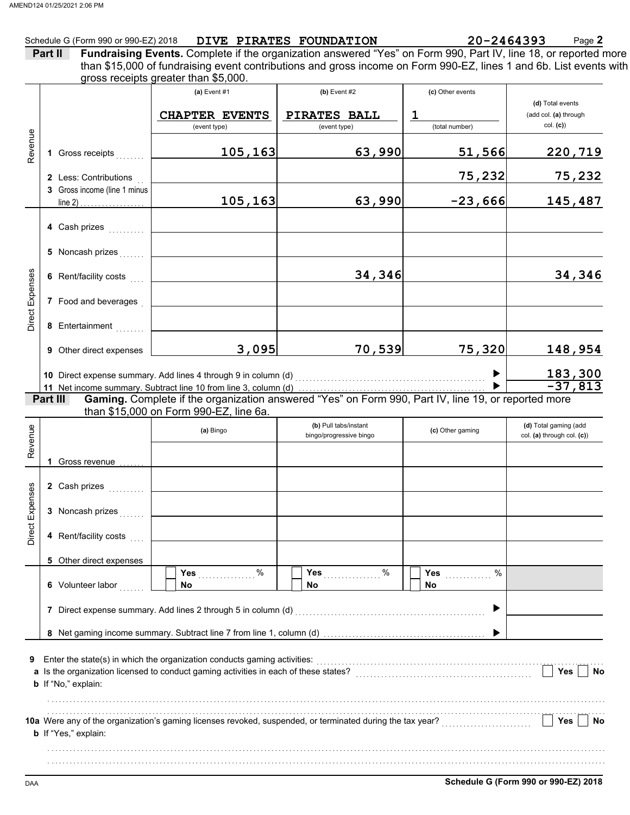| Schedule G (Form 990 or 990-EZ) 2018 | DIVE PIRATES FOUNDATION | 20-2464393 | $a$ ge $\angle$ |
|--------------------------------------|-------------------------|------------|-----------------|
|                                      |                         |            |                 |

| Part II | <b>Fundraising Events.</b> Complete if the organization answered "Yes" on Form 990, Part IV, line 18, or reported more |
|---------|------------------------------------------------------------------------------------------------------------------------|
|         | than \$15,000 of fundraising event contributions and gross income on Form 990-EZ, lines 1 and 6b. List events with     |
|         | gross receipts greater than \$5,000.                                                                                   |

|                 |                                                  | $\mu$ ooo roocipto groator triam $\psi$ o,ooo.<br>(a) Event $#1$                                                                                                 | $(b)$ Event #2                                   | (c) Other events              | (d) Total events                                    |
|-----------------|--------------------------------------------------|------------------------------------------------------------------------------------------------------------------------------------------------------------------|--------------------------------------------------|-------------------------------|-----------------------------------------------------|
|                 |                                                  | <b>CHAPTER EVENTS</b><br>(event type)                                                                                                                            | PIRATES BALL<br>(event type)                     | $\mathbf 1$<br>(total number) | (add col. (a) through<br>col. (c)                   |
| Revenue         |                                                  |                                                                                                                                                                  | 63,990                                           |                               |                                                     |
|                 | 1 Gross receipts                                 | 105,163                                                                                                                                                          |                                                  | 51,566                        | <u>220,719</u>                                      |
|                 | 2 Less: Contributions                            |                                                                                                                                                                  |                                                  | 75,232                        | <u>75,232</u>                                       |
|                 | 3 Gross income (line 1 minus<br>line 2) $\ldots$ | 105, 163                                                                                                                                                         | 63,990                                           | $-23,666$                     | 145,487                                             |
|                 | 4 Cash prizes                                    |                                                                                                                                                                  |                                                  |                               |                                                     |
|                 | 5 Noncash prizes                                 |                                                                                                                                                                  |                                                  |                               |                                                     |
|                 | 6 Rent/facility costs                            |                                                                                                                                                                  | 34,346                                           |                               | 34,346                                              |
| Direct Expenses | 7 Food and beverages                             |                                                                                                                                                                  |                                                  |                               |                                                     |
|                 | 8 Entertainment                                  |                                                                                                                                                                  |                                                  |                               |                                                     |
|                 | 9 Other direct expenses                          | 3,095                                                                                                                                                            | 70,539                                           | 75,320                        | 148,954                                             |
|                 |                                                  | 10 Direct expense summary. Add lines 4 through 9 in column (d)                                                                                                   |                                                  |                               | $\frac{183,300}{-37,813}$                           |
|                 | Part III                                         | Gaming. Complete if the organization answered "Yes" on Form 990, Part IV, line 19, or reported more                                                              |                                                  |                               |                                                     |
|                 |                                                  | than \$15,000 on Form 990-EZ, line 6a.                                                                                                                           |                                                  |                               |                                                     |
|                 |                                                  | (a) Bingo                                                                                                                                                        | (b) Pull tabs/instant<br>bingo/progressive bingo | (c) Other gaming              | (d) Total gaming (add<br>col. (a) through col. (c)) |
| Revenue         |                                                  |                                                                                                                                                                  |                                                  |                               |                                                     |
|                 | 1 Gross revenue                                  |                                                                                                                                                                  |                                                  |                               |                                                     |
|                 | 2 Cash prizes                                    |                                                                                                                                                                  |                                                  |                               |                                                     |
| Direct Expenses | 3 Noncash prizes                                 |                                                                                                                                                                  |                                                  |                               |                                                     |
|                 | 4 Rent/facility costs                            |                                                                                                                                                                  |                                                  |                               |                                                     |
|                 | 5 Other direct expenses                          |                                                                                                                                                                  |                                                  |                               |                                                     |
|                 | 6 Volunteer labor                                | $\%$<br>Yes<br>No                                                                                                                                                | $\%$<br>Yes<br>No                                | $\%$<br>Yes<br>No             |                                                     |
|                 |                                                  | 7 Direct expense summary. Add lines 2 through 5 in column (d) [11] content content content content content content of                                            |                                                  |                               |                                                     |
|                 |                                                  |                                                                                                                                                                  |                                                  |                               |                                                     |
| 9               | b If "No," explain:                              | Enter the state(s) in which the organization conducts gaming activities:<br>a Is the organization licensed to conduct gaming activities in each of these states? |                                                  |                               | Yes<br>No                                           |
|                 |                                                  |                                                                                                                                                                  |                                                  |                               |                                                     |
|                 | b If "Yes," explain:                             |                                                                                                                                                                  |                                                  |                               | Yes<br>No.                                          |
|                 |                                                  |                                                                                                                                                                  |                                                  |                               |                                                     |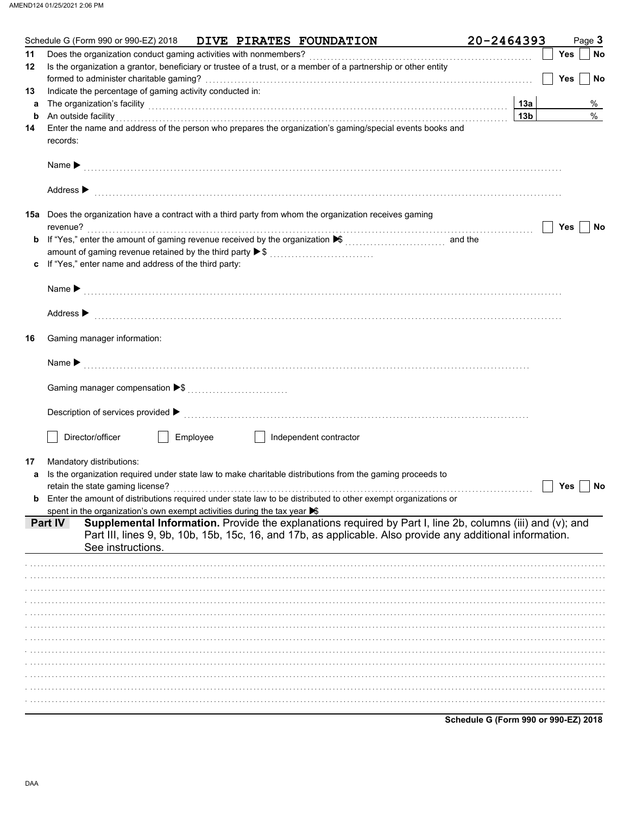|    | Schedule G (Form 990 or 990-EZ) 2018   DIVE PIRATES FOUNDATION                                                                                                                                                                       | 20-2464393      |            | Page 3           |
|----|--------------------------------------------------------------------------------------------------------------------------------------------------------------------------------------------------------------------------------------|-----------------|------------|------------------|
| 11 |                                                                                                                                                                                                                                      |                 |            | Yes<br><b>No</b> |
| 12 | Is the organization a grantor, beneficiary or trustee of a trust, or a member of a partnership or other entity                                                                                                                       |                 |            |                  |
|    |                                                                                                                                                                                                                                      |                 | <b>Yes</b> | <b>No</b>        |
| 13 | Indicate the percentage of gaming activity conducted in:                                                                                                                                                                             |                 |            |                  |
| а  | The organization's facility <b>contained a contained a contained a contained a contained a contained a contained a</b>                                                                                                               | 13а             |            | %                |
| b  | An outside facility                                                                                                                                                                                                                  | 13 <sub>b</sub> |            | $\frac{0}{0}$    |
| 14 | Enter the name and address of the person who prepares the organization's gaming/special events books and                                                                                                                             |                 |            |                  |
|    | records:                                                                                                                                                                                                                             |                 |            |                  |
|    |                                                                                                                                                                                                                                      |                 |            |                  |
|    | Name <b>Decision of the contract of the contract of the contract of the contract of the contract of the contract of the contract of the contract of the contract of the contract of the contract of the contract of the contract</b> |                 |            |                  |
|    |                                                                                                                                                                                                                                      |                 |            |                  |
|    | Address $\blacktriangleright$                                                                                                                                                                                                        |                 |            |                  |
|    |                                                                                                                                                                                                                                      |                 |            |                  |
|    | <b>15a</b> Does the organization have a contract with a third party from whom the organization receives gaming                                                                                                                       |                 |            |                  |
|    | revenue?                                                                                                                                                                                                                             |                 | Yes        | No               |
| b  | If "Yes," enter the amount of gaming revenue received by the organization ▶ [[[[[[[[[[[[[[[[[[[[[[]]]]]]]]] and the                                                                                                                  |                 |            |                  |
|    |                                                                                                                                                                                                                                      |                 |            |                  |
|    | amount of gaming revenue retained by the third party ▶ \$                                                                                                                                                                            |                 |            |                  |
| c  | If "Yes," enter name and address of the third party:                                                                                                                                                                                 |                 |            |                  |
|    |                                                                                                                                                                                                                                      |                 |            |                  |
|    |                                                                                                                                                                                                                                      |                 |            |                  |
|    |                                                                                                                                                                                                                                      |                 |            |                  |
|    | Address > material contracts and contracts are contracted and contract of the contract of the contract of the contract of the contract of the contract of the contract of the contract of the contract of the contract of the        |                 |            |                  |
|    |                                                                                                                                                                                                                                      |                 |            |                  |
| 16 | Gaming manager information:                                                                                                                                                                                                          |                 |            |                  |
|    |                                                                                                                                                                                                                                      |                 |            |                  |
|    |                                                                                                                                                                                                                                      |                 |            |                  |
|    |                                                                                                                                                                                                                                      |                 |            |                  |
|    |                                                                                                                                                                                                                                      |                 |            |                  |
|    |                                                                                                                                                                                                                                      |                 |            |                  |
|    |                                                                                                                                                                                                                                      |                 |            |                  |
|    |                                                                                                                                                                                                                                      |                 |            |                  |
|    | Director/officer<br>Employee<br>Independent contractor                                                                                                                                                                               |                 |            |                  |
|    |                                                                                                                                                                                                                                      |                 |            |                  |
| 17 | Mandatory distributions:                                                                                                                                                                                                             |                 |            |                  |
| a  | Is the organization required under state law to make charitable distributions from the gaming proceeds to                                                                                                                            |                 |            |                  |
|    |                                                                                                                                                                                                                                      |                 |            | Yes<br>No        |
|    | Enter the amount of distributions required under state law to be distributed to other exempt organizations or                                                                                                                        |                 |            |                  |
|    | spent in the organization's own exempt activities during the tax year $\blacktriangleright$                                                                                                                                          |                 |            |                  |
|    | Supplemental Information. Provide the explanations required by Part I, line 2b, columns (iii) and (v); and<br><b>Part IV</b>                                                                                                         |                 |            |                  |
|    | Part III, lines 9, 9b, 10b, 15b, 15c, 16, and 17b, as applicable. Also provide any additional information.                                                                                                                           |                 |            |                  |
|    | See instructions.                                                                                                                                                                                                                    |                 |            |                  |
|    |                                                                                                                                                                                                                                      |                 |            |                  |
|    |                                                                                                                                                                                                                                      |                 |            |                  |
|    |                                                                                                                                                                                                                                      |                 |            |                  |
|    |                                                                                                                                                                                                                                      |                 |            |                  |
|    |                                                                                                                                                                                                                                      |                 |            |                  |
|    |                                                                                                                                                                                                                                      |                 |            |                  |
|    |                                                                                                                                                                                                                                      |                 |            |                  |
|    |                                                                                                                                                                                                                                      |                 |            |                  |
|    |                                                                                                                                                                                                                                      |                 |            |                  |
|    |                                                                                                                                                                                                                                      |                 |            |                  |
|    |                                                                                                                                                                                                                                      |                 |            |                  |
|    |                                                                                                                                                                                                                                      |                 |            |                  |
|    |                                                                                                                                                                                                                                      |                 |            |                  |
|    |                                                                                                                                                                                                                                      |                 |            |                  |
|    |                                                                                                                                                                                                                                      |                 |            |                  |

Schedule G (Form 990 or 990-EZ) 2018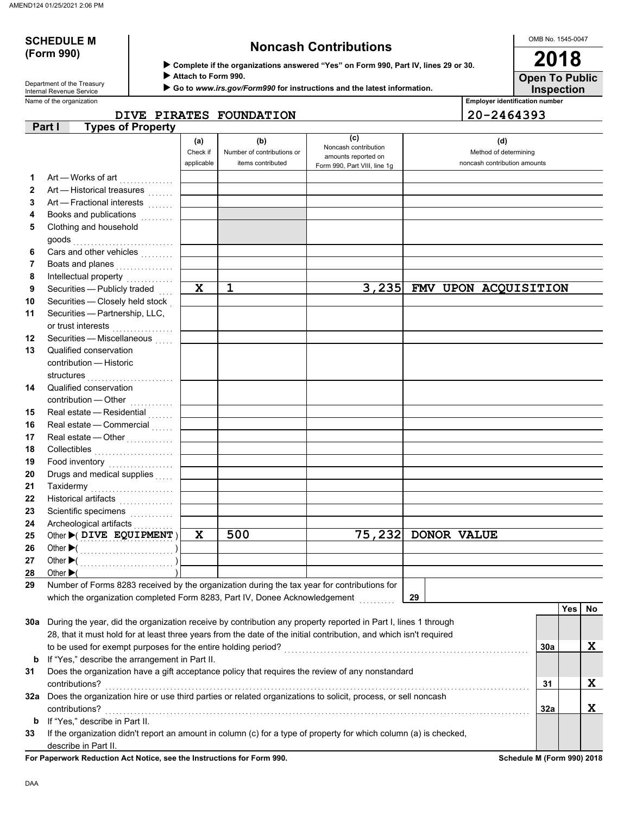# **(Form 990)**

# **Complete if the organizations answered "Yes" on Form 990, Part IV, lines 29 or 30. SCHEDULE M Noncash Contributions**

OMB No. 1545-0047 **2018**

| Department of the Treasury |
|----------------------------|
| Internal Revenue Service   |
| Name of the organization   |

 **Go to** *www.irs.gov/Form990* **for instructions and the latest information. Attach to Form 990.**

**Inspection Open To Public**

**Employer identification number** 

| enial Nevenue Jervice  |             |  |
|------------------------|-------------|--|
| me of the organization |             |  |
|                        | <b>DTIT</b> |  |

### **DIVE PIRATES FOUNDATION 20-2464393**

|              | <b>Types of Property</b><br>Part I                                                                                 |             |                            |                                             |                              |     |            |     |
|--------------|--------------------------------------------------------------------------------------------------------------------|-------------|----------------------------|---------------------------------------------|------------------------------|-----|------------|-----|
|              |                                                                                                                    | (a)         | (b)                        | (c)                                         | (d)                          |     |            |     |
|              |                                                                                                                    | Check if    | Number of contributions or | Noncash contribution<br>amounts reported on | Method of determining        |     |            |     |
|              |                                                                                                                    | applicable  | items contributed          | Form 990, Part VIII, line 1g                | noncash contribution amounts |     |            |     |
| 1            | Art - Works of art                                                                                                 |             |                            |                                             |                              |     |            |     |
| $\mathbf{2}$ | Art - Historical treasures                                                                                         |             |                            |                                             |                              |     |            |     |
| 3            | Art - Fractional interests<br><b>Service</b>                                                                       |             |                            |                                             |                              |     |            |     |
| 4            | Books and publications                                                                                             |             |                            |                                             |                              |     |            |     |
| 5            | Clothing and household                                                                                             |             |                            |                                             |                              |     |            |     |
|              | goods                                                                                                              |             |                            |                                             |                              |     |            |     |
| 6            | Cars and other vehicles                                                                                            |             |                            |                                             |                              |     |            |     |
| 7            | Boats and planes<br>.                                                                                              |             |                            |                                             |                              |     |            |     |
| 8            |                                                                                                                    |             |                            |                                             |                              |     |            |     |
| 9            | Securities - Publicly traded                                                                                       | $\mathbf x$ | $\mathbf{1}$               |                                             | 3,235 FMV UPON ACQUISITION   |     |            |     |
| 10           | Securities - Closely held stock                                                                                    |             |                            |                                             |                              |     |            |     |
| 11           | Securities - Partnership, LLC,                                                                                     |             |                            |                                             |                              |     |            |     |
|              | or trust interests                                                                                                 |             |                            |                                             |                              |     |            |     |
| 12           | Securities - Miscellaneous                                                                                         |             |                            |                                             |                              |     |            |     |
| 13           | Qualified conservation                                                                                             |             |                            |                                             |                              |     |            |     |
|              | contribution - Historic                                                                                            |             |                            |                                             |                              |     |            |     |
|              | structures                                                                                                         |             |                            |                                             |                              |     |            |     |
| 14           | Qualified conservation                                                                                             |             |                            |                                             |                              |     |            |     |
|              | contribution - Other                                                                                               |             |                            |                                             |                              |     |            |     |
| 15           | Real estate - Residential                                                                                          |             |                            |                                             |                              |     |            |     |
| 16           | Real estate - Commercial                                                                                           |             |                            |                                             |                              |     |            |     |
| 17           | Real estate - Other                                                                                                |             |                            |                                             |                              |     |            |     |
| 18           | Collectibles                                                                                                       |             |                            |                                             |                              |     |            |     |
| 19           | Food inventory                                                                                                     |             |                            |                                             |                              |     |            |     |
| 20           | Drugs and medical supplies                                                                                         |             |                            |                                             |                              |     |            |     |
| 21           | Taxidermy<br>.                                                                                                     |             |                            |                                             |                              |     |            |     |
| 22           | Historical artifacts<br>.                                                                                          |             |                            |                                             |                              |     |            |     |
| 23           | Scientific specimens                                                                                               |             |                            |                                             |                              |     |            |     |
| 24           | Archeological artifacts                                                                                            |             |                            |                                             |                              |     |            |     |
| 25           | Other $\blacktriangleright$ (DIVE EQUIPMENT)                                                                       | $\mathbf x$ | 500                        |                                             | 75,232 DONOR VALUE           |     |            |     |
| 26           |                                                                                                                    |             |                            |                                             |                              |     |            |     |
| 27           |                                                                                                                    |             |                            |                                             |                              |     |            |     |
| 28           | Other $\blacktriangleright$ (                                                                                      |             |                            |                                             |                              |     |            |     |
|              | 29 Number of Forms 8283 received by the organization during the tax year for contributions for                     |             |                            |                                             |                              |     |            |     |
|              | which the organization completed Form 8283, Part IV, Donee Acknowledgement                                         |             |                            |                                             | 29                           |     |            |     |
|              |                                                                                                                    |             |                            |                                             |                              |     | <b>Yes</b> | No. |
|              | 30a During the year, did the organization receive by contribution any property reported in Part I, lines 1 through |             |                            |                                             |                              |     |            |     |
|              | 28, that it must hold for at least three years from the date of the initial contribution, and which isn't required |             |                            |                                             |                              |     |            |     |
|              | to be used for exempt purposes for the entire holding period?                                                      |             |                            |                                             |                              | 30a |            | X   |
|              | <b>b</b> If "Yes," describe the arrangement in Part II.                                                            |             |                            |                                             |                              |     |            |     |
| 31           | Does the organization have a gift acceptance policy that requires the review of any nonstandard                    |             |                            |                                             |                              |     |            |     |
|              | contributions?                                                                                                     |             |                            |                                             |                              | 31  |            | X   |
|              | 32a Does the organization hire or use third parties or related organizations to solicit, process, or sell noncash  |             |                            |                                             |                              |     |            |     |
|              | contributions?                                                                                                     |             |                            |                                             |                              | 32a |            | Χ   |
|              | <b>b</b> If "Yes," describe in Part II.                                                                            |             |                            |                                             |                              |     |            |     |
| 33           | If the organization didn't report an amount in column (c) for a type of property for which column (a) is checked,  |             |                            |                                             |                              |     |            |     |
|              | describe in Part II.                                                                                               |             |                            |                                             |                              |     |            |     |

**For Paperwork Reduction Act Notice, see the Instructions for Form 990. Schedule M (Form 990) 2018**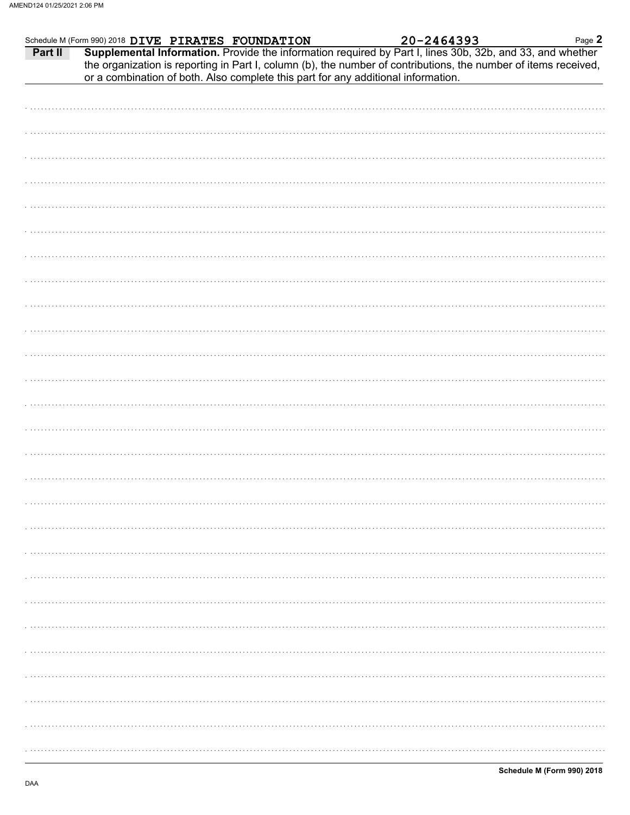|         | Schedule M (Form 990) 2018 DIVE PIRATES FOUNDATION                                | 20-2464393                                                                                                                                                                                                                   | Page 2 |
|---------|-----------------------------------------------------------------------------------|------------------------------------------------------------------------------------------------------------------------------------------------------------------------------------------------------------------------------|--------|
| Part II | or a combination of both. Also complete this part for any additional information. | Supplemental Information. Provide the information required by Part I, lines 30b, 32b, and 33, and whether<br>the organization is reporting in Part I, column (b), the number of contributions, the number of items received, |        |
|         |                                                                                   |                                                                                                                                                                                                                              |        |
|         |                                                                                   |                                                                                                                                                                                                                              |        |
|         |                                                                                   |                                                                                                                                                                                                                              |        |
|         |                                                                                   |                                                                                                                                                                                                                              |        |
|         |                                                                                   |                                                                                                                                                                                                                              |        |
|         |                                                                                   |                                                                                                                                                                                                                              |        |
|         |                                                                                   |                                                                                                                                                                                                                              |        |
|         |                                                                                   |                                                                                                                                                                                                                              |        |
|         |                                                                                   |                                                                                                                                                                                                                              |        |
|         |                                                                                   |                                                                                                                                                                                                                              |        |
|         |                                                                                   |                                                                                                                                                                                                                              |        |
|         |                                                                                   |                                                                                                                                                                                                                              |        |
|         |                                                                                   |                                                                                                                                                                                                                              |        |
|         |                                                                                   |                                                                                                                                                                                                                              |        |
|         |                                                                                   |                                                                                                                                                                                                                              |        |
|         |                                                                                   |                                                                                                                                                                                                                              |        |
|         |                                                                                   |                                                                                                                                                                                                                              |        |
|         |                                                                                   |                                                                                                                                                                                                                              |        |
|         |                                                                                   |                                                                                                                                                                                                                              |        |
|         |                                                                                   |                                                                                                                                                                                                                              |        |
|         |                                                                                   |                                                                                                                                                                                                                              |        |
|         |                                                                                   |                                                                                                                                                                                                                              |        |
|         |                                                                                   |                                                                                                                                                                                                                              |        |
|         |                                                                                   |                                                                                                                                                                                                                              |        |
|         |                                                                                   |                                                                                                                                                                                                                              |        |
|         |                                                                                   |                                                                                                                                                                                                                              |        |
|         |                                                                                   |                                                                                                                                                                                                                              |        |
|         |                                                                                   |                                                                                                                                                                                                                              |        |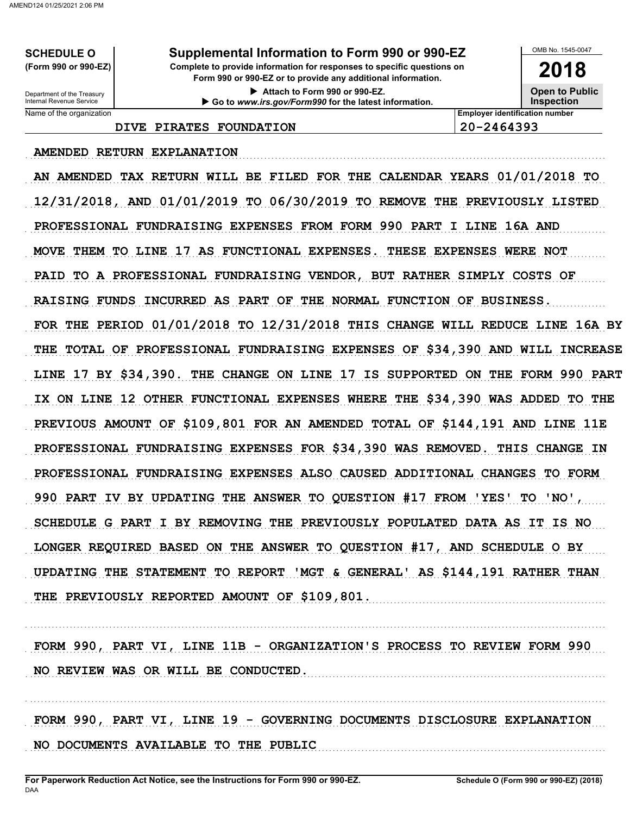**SCHEDULE O** (Form 990 or 990-EZ)

Supplemental Information to Form 990 or 990-EZ

Complete to provide information for responses to specific questions on Form 990 or 990-EZ or to provide any additional information.

> Attach to Form 990 or 990-EZ. Go to www.irs.gov/Form990 for the latest information.

OMB No. 1545-0047

2018 **Open to Public Inspection** 

Department of the Treasury<br>Internal Revenue Service Name of the organization

DIVE PIRATES FOUNDATION

**Employer identification number** 20-2464393

AMENDED RETURN EXPLANATION

AN AMENDED TAX RETURN WILL BE FILED FOR THE CALENDAR YEARS 01/01/2018 TO 12/31/2018, AND 01/01/2019 TO 06/30/2019 TO REMOVE THE PREVIOUSLY LISTED PROFESSIONAL FUNDRAISING EXPENSES FROM FORM 990 PART I LINE 16A AND MOVE THEM TO LINE 17 AS FUNCTIONAL EXPENSES. THESE EXPENSES WERE NOT PAID TO A PROFESSIONAL FUNDRAISING VENDOR, BUT RATHER SIMPLY COSTS OF RAISING FUNDS INCURRED AS PART OF THE NORMAL FUNCTION OF BUSINESS. FOR THE PERIOD  $01/01/2018$  TO  $12/31/2018$  THIS CHANGE WILL REDUCE LINE 16A BY THE TOTAL OF PROFESSIONAL FUNDRAISING EXPENSES OF \$34,390 AND WILL INCREASE LINE 17 BY \$34,390. THE CHANGE ON LINE 17 IS SUPPORTED ON THE FORM 990 PART IX ON LINE 12 OTHER FUNCTIONAL EXPENSES WHERE THE \$34,390 WAS ADDED TO THE PREVIOUS AMOUNT OF \$109,801 FOR AN AMENDED TOTAL OF \$144,191 AND LINE 11E PROFESSIONAL FUNDRAISING EXPENSES FOR \$34,390 WAS REMOVED. THIS CHANGE IN PROFESSIONAL FUNDRAISING EXPENSES ALSO CAUSED ADDITIONAL CHANGES TO FORM 990 PART IV BY UPDATING THE ANSWER TO QUESTION #17 FROM 'YES' TO 'NO', SCHEDULE G PART I BY REMOVING THE PREVIOUSLY POPULATED DATA AS IT IS NO LONGER REQUIRED BASED ON THE ANSWER TO QUESTION #17, AND SCHEDULE O BY UPDATING THE STATEMENT TO REPORT 'MGT & GENERAL' AS \$144,191 RATHER THAN THE PREVIOUSLY REPORTED AMOUNT OF \$109,801.

FORM 990, PART VI, LINE 11B - ORGANIZATION'S PROCESS TO REVIEW FORM 990 NO REVIEW WAS OR WILL BE CONDUCTED.

FORM 990, PART VI, LINE 19 - GOVERNING DOCUMENTS DISCLOSURE EXPLANATION NO DOCUMENTS AVAILABLE TO THE PUBLIC